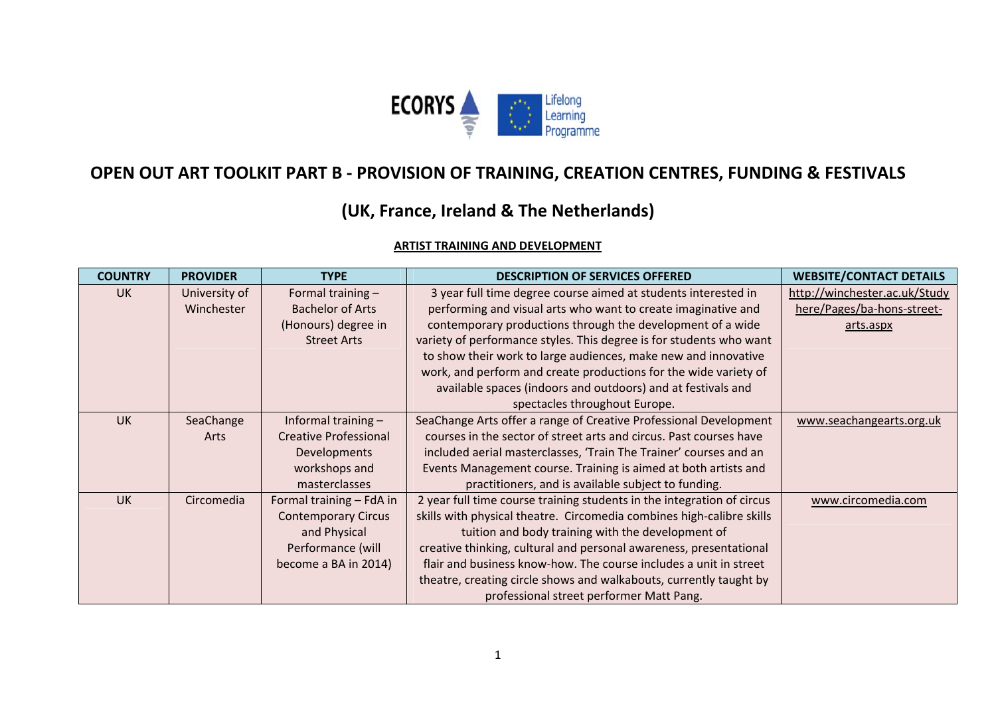

# **OPEN OUT ART TOOLKIT PART B ‐ PROVISION OF TRAINING, CREATION CENTRES, FUNDING & FESTIVALS**

# **(UK, France, Ireland & The Netherlands)**

# **ARTIST TRAINING AND DEVELOPMENT**

| <b>COUNTRY</b> | <b>PROVIDER</b> | <b>TYPE</b>                  | <b>DESCRIPTION OF SERVICES OFFERED</b>                                 | <b>WEBSITE/CONTACT DETAILS</b> |
|----------------|-----------------|------------------------------|------------------------------------------------------------------------|--------------------------------|
| <b>UK</b>      | University of   | Formal training -            | 3 year full time degree course aimed at students interested in         | http://winchester.ac.uk/Study  |
|                | Winchester      | <b>Bachelor of Arts</b>      | performing and visual arts who want to create imaginative and          | here/Pages/ba-hons-street-     |
|                |                 | (Honours) degree in          | contemporary productions through the development of a wide             | arts.aspx                      |
|                |                 | <b>Street Arts</b>           | variety of performance styles. This degree is for students who want    |                                |
|                |                 |                              | to show their work to large audiences, make new and innovative         |                                |
|                |                 |                              | work, and perform and create productions for the wide variety of       |                                |
|                |                 |                              | available spaces (indoors and outdoors) and at festivals and           |                                |
|                |                 |                              | spectacles throughout Europe.                                          |                                |
| <b>UK</b>      | SeaChange       | Informal training -          | SeaChange Arts offer a range of Creative Professional Development      | www.seachangearts.org.uk       |
|                | Arts            | <b>Creative Professional</b> | courses in the sector of street arts and circus. Past courses have     |                                |
|                |                 | Developments                 | included aerial masterclasses, 'Train The Trainer' courses and an      |                                |
|                |                 | workshops and                | Events Management course. Training is aimed at both artists and        |                                |
|                |                 | masterclasses                | practitioners, and is available subject to funding.                    |                                |
| <b>UK</b>      | Circomedia      | Formal training - FdA in     | 2 year full time course training students in the integration of circus | www.circomedia.com             |
|                |                 | <b>Contemporary Circus</b>   | skills with physical theatre. Circomedia combines high-calibre skills  |                                |
|                |                 | and Physical                 | tuition and body training with the development of                      |                                |
|                |                 | Performance (will            | creative thinking, cultural and personal awareness, presentational     |                                |
|                |                 | become a BA in 2014)         | flair and business know-how. The course includes a unit in street      |                                |
|                |                 |                              | theatre, creating circle shows and walkabouts, currently taught by     |                                |
|                |                 |                              | professional street performer Matt Pang.                               |                                |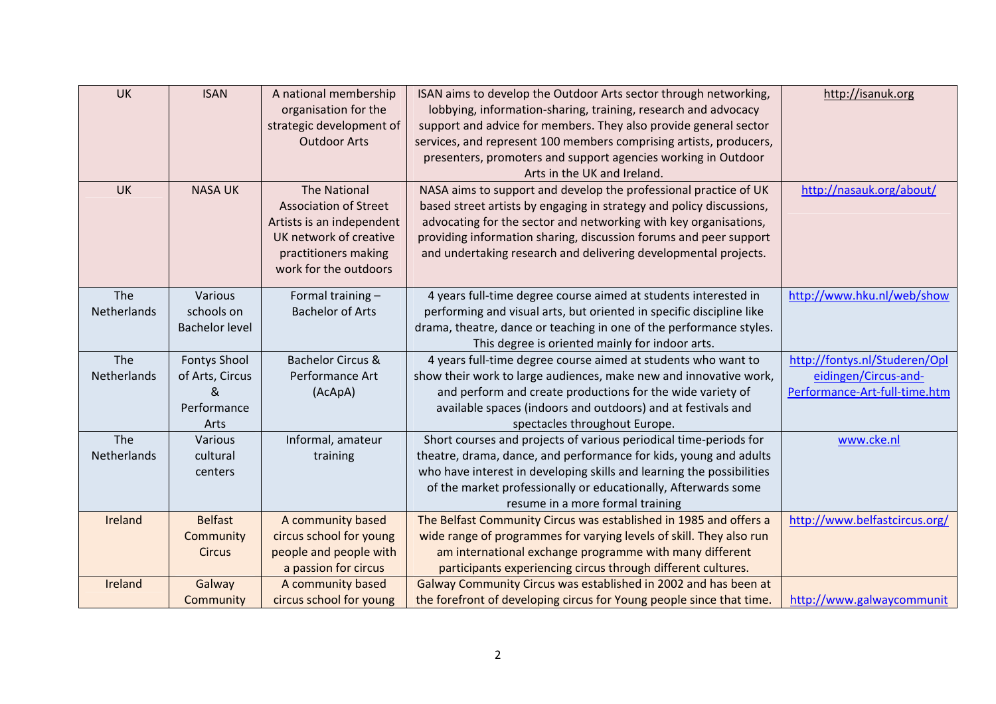| <b>UK</b>   | <b>ISAN</b>           | A national membership        | ISAN aims to develop the Outdoor Arts sector through networking,      | http://isanuk.org             |
|-------------|-----------------------|------------------------------|-----------------------------------------------------------------------|-------------------------------|
|             |                       | organisation for the         | lobbying, information-sharing, training, research and advocacy        |                               |
|             |                       | strategic development of     | support and advice for members. They also provide general sector      |                               |
|             |                       | <b>Outdoor Arts</b>          | services, and represent 100 members comprising artists, producers,    |                               |
|             |                       |                              | presenters, promoters and support agencies working in Outdoor         |                               |
|             |                       |                              | Arts in the UK and Ireland.                                           |                               |
| <b>UK</b>   | <b>NASA UK</b>        | <b>The National</b>          | NASA aims to support and develop the professional practice of UK      | http://nasauk.org/about/      |
|             |                       | <b>Association of Street</b> | based street artists by engaging in strategy and policy discussions,  |                               |
|             |                       | Artists is an independent    | advocating for the sector and networking with key organisations,      |                               |
|             |                       | UK network of creative       | providing information sharing, discussion forums and peer support     |                               |
|             |                       | practitioners making         | and undertaking research and delivering developmental projects.       |                               |
|             |                       | work for the outdoors        |                                                                       |                               |
| The         | Various               | Formal training -            | 4 years full-time degree course aimed at students interested in       | http://www.hku.nl/web/show    |
| Netherlands | schools on            | <b>Bachelor of Arts</b>      | performing and visual arts, but oriented in specific discipline like  |                               |
|             | <b>Bachelor level</b> |                              | drama, theatre, dance or teaching in one of the performance styles.   |                               |
|             |                       |                              | This degree is oriented mainly for indoor arts.                       |                               |
| The         | <b>Fontys Shool</b>   | <b>Bachelor Circus &amp;</b> | 4 years full-time degree course aimed at students who want to         | http://fontys.nl/Studeren/Opl |
| Netherlands | of Arts, Circus       | Performance Art              | show their work to large audiences, make new and innovative work,     | eidingen/Circus-and-          |
|             | &                     | (AcApA)                      | and perform and create productions for the wide variety of            | Performance-Art-full-time.htm |
|             | Performance           |                              | available spaces (indoors and outdoors) and at festivals and          |                               |
|             | Arts                  |                              | spectacles throughout Europe.                                         |                               |
| The         | Various               | Informal, amateur            | Short courses and projects of various periodical time-periods for     | www.cke.nl                    |
| Netherlands | cultural              | training                     | theatre, drama, dance, and performance for kids, young and adults     |                               |
|             | centers               |                              | who have interest in developing skills and learning the possibilities |                               |
|             |                       |                              | of the market professionally or educationally, Afterwards some        |                               |
|             |                       |                              | resume in a more formal training                                      |                               |
| Ireland     | <b>Belfast</b>        | A community based            | The Belfast Community Circus was established in 1985 and offers a     | http://www.belfastcircus.org/ |
|             | Community             | circus school for young      | wide range of programmes for varying levels of skill. They also run   |                               |
|             | <b>Circus</b>         | people and people with       | am international exchange programme with many different               |                               |
|             |                       | a passion for circus         | participants experiencing circus through different cultures.          |                               |
| Ireland     | Galway                | A community based            | Galway Community Circus was established in 2002 and has been at       |                               |
|             | Community             | circus school for young      | the forefront of developing circus for Young people since that time.  | http://www.galwaycommunit     |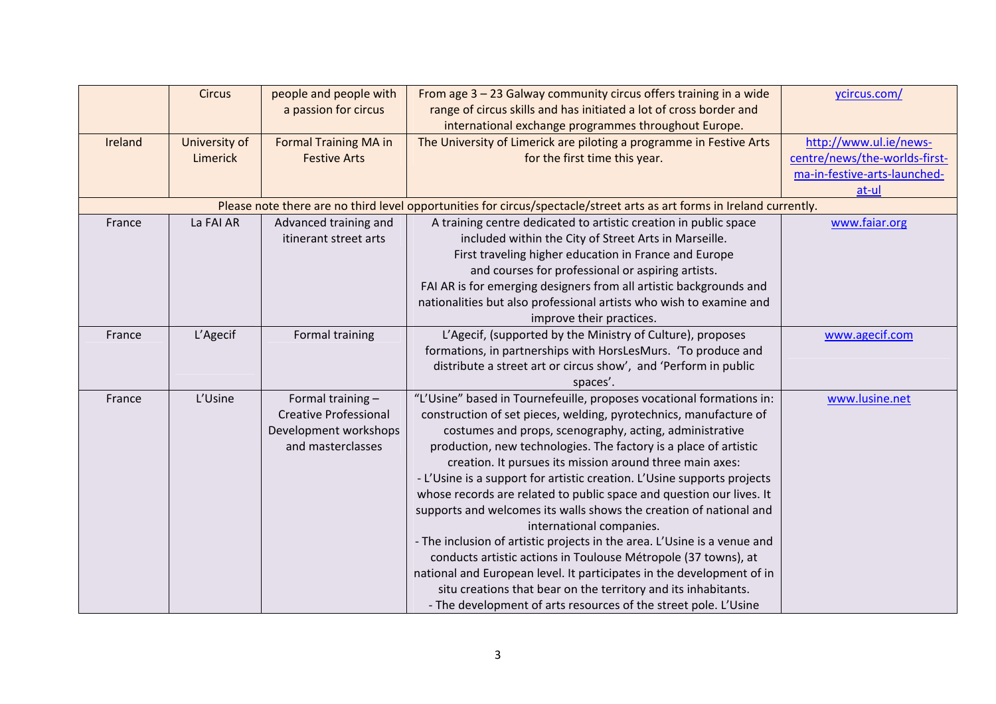|         | <b>Circus</b> | people and people with       | From age $3 - 23$ Galway community circus offers training in a wide                                                    | ycircus.com/                  |
|---------|---------------|------------------------------|------------------------------------------------------------------------------------------------------------------------|-------------------------------|
|         |               | a passion for circus         | range of circus skills and has initiated a lot of cross border and                                                     |                               |
|         |               |                              | international exchange programmes throughout Europe.                                                                   |                               |
| Ireland | University of | <b>Formal Training MA in</b> | The University of Limerick are piloting a programme in Festive Arts                                                    | http://www.ul.ie/news-        |
|         | Limerick      | <b>Festive Arts</b>          | for the first time this year.                                                                                          | centre/news/the-worlds-first- |
|         |               |                              |                                                                                                                        | ma-in-festive-arts-launched-  |
|         |               |                              |                                                                                                                        | at-ul                         |
|         |               |                              | Please note there are no third level opportunities for circus/spectacle/street arts as art forms in Ireland currently. |                               |
| France  | La FAI AR     | Advanced training and        | A training centre dedicated to artistic creation in public space                                                       | www.faiar.org                 |
|         |               | itinerant street arts        | included within the City of Street Arts in Marseille.                                                                  |                               |
|         |               |                              | First traveling higher education in France and Europe                                                                  |                               |
|         |               |                              | and courses for professional or aspiring artists.                                                                      |                               |
|         |               |                              | FAI AR is for emerging designers from all artistic backgrounds and                                                     |                               |
|         |               |                              | nationalities but also professional artists who wish to examine and                                                    |                               |
|         |               |                              | improve their practices.                                                                                               |                               |
| France  | L'Agecif      | Formal training              | L'Agecif, (supported by the Ministry of Culture), proposes                                                             | www.agecif.com                |
|         |               |                              | formations, in partnerships with HorsLesMurs. 'To produce and                                                          |                               |
|         |               |                              | distribute a street art or circus show', and 'Perform in public                                                        |                               |
|         |               |                              | spaces'.                                                                                                               |                               |
| France  | L'Usine       | Formal training -            | "L'Usine" based in Tournefeuille, proposes vocational formations in:                                                   | www.lusine.net                |
|         |               | <b>Creative Professional</b> | construction of set pieces, welding, pyrotechnics, manufacture of                                                      |                               |
|         |               | Development workshops        | costumes and props, scenography, acting, administrative                                                                |                               |
|         |               | and masterclasses            | production, new technologies. The factory is a place of artistic                                                       |                               |
|         |               |                              | creation. It pursues its mission around three main axes:                                                               |                               |
|         |               |                              | - L'Usine is a support for artistic creation. L'Usine supports projects                                                |                               |
|         |               |                              | whose records are related to public space and question our lives. It                                                   |                               |
|         |               |                              | supports and welcomes its walls shows the creation of national and                                                     |                               |
|         |               |                              | international companies.                                                                                               |                               |
|         |               |                              | - The inclusion of artistic projects in the area. L'Usine is a venue and                                               |                               |
|         |               |                              | conducts artistic actions in Toulouse Métropole (37 towns), at                                                         |                               |
|         |               |                              | national and European level. It participates in the development of in                                                  |                               |
|         |               |                              | situ creations that bear on the territory and its inhabitants.                                                         |                               |
|         |               |                              | - The development of arts resources of the street pole. L'Usine                                                        |                               |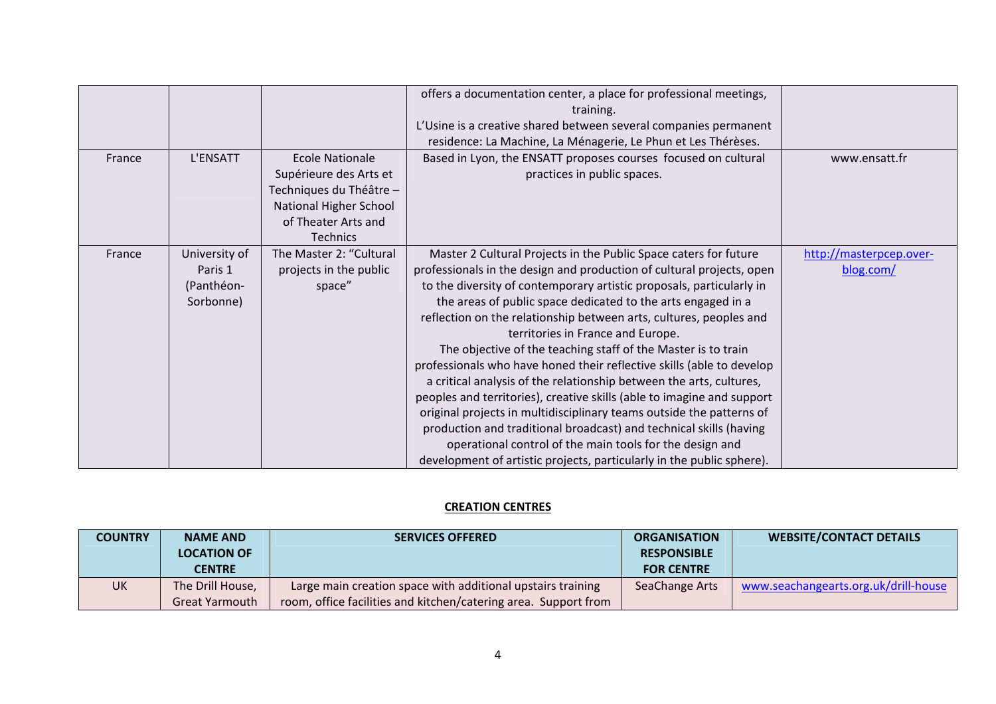|        |               |                         | offers a documentation center, a place for professional meetings,      |                         |
|--------|---------------|-------------------------|------------------------------------------------------------------------|-------------------------|
|        |               |                         | training.                                                              |                         |
|        |               |                         | L'Usine is a creative shared between several companies permanent       |                         |
|        |               |                         | residence: La Machine, La Ménagerie, Le Phun et Les Thérèses.          |                         |
| France | L'ENSATT      | Ecole Nationale         | Based in Lyon, the ENSATT proposes courses focused on cultural         | www.ensatt.fr           |
|        |               | Supérieure des Arts et  | practices in public spaces.                                            |                         |
|        |               |                         |                                                                        |                         |
|        |               | Techniques du Théâtre - |                                                                        |                         |
|        |               | National Higher School  |                                                                        |                         |
|        |               | of Theater Arts and     |                                                                        |                         |
|        |               | <b>Technics</b>         |                                                                        |                         |
| France | University of | The Master 2: "Cultural | Master 2 Cultural Projects in the Public Space caters for future       | http://masterpcep.over- |
|        | Paris 1       | projects in the public  | professionals in the design and production of cultural projects, open  | blog.com/               |
|        | (Panthéon-    | space"                  | to the diversity of contemporary artistic proposals, particularly in   |                         |
|        | Sorbonne)     |                         | the areas of public space dedicated to the arts engaged in a           |                         |
|        |               |                         | reflection on the relationship between arts, cultures, peoples and     |                         |
|        |               |                         | territories in France and Europe.                                      |                         |
|        |               |                         | The objective of the teaching staff of the Master is to train          |                         |
|        |               |                         | professionals who have honed their reflective skills (able to develop  |                         |
|        |               |                         | a critical analysis of the relationship between the arts, cultures,    |                         |
|        |               |                         | peoples and territories), creative skills (able to imagine and support |                         |
|        |               |                         | original projects in multidisciplinary teams outside the patterns of   |                         |
|        |               |                         | production and traditional broadcast) and technical skills (having     |                         |
|        |               |                         | operational control of the main tools for the design and               |                         |
|        |               |                         | development of artistic projects, particularly in the public sphere).  |                         |

## **CREATION CENTRES**

| <b>COUNTRY</b> | <b>NAME AND</b><br><b>LOCATION OF</b><br><b>CENTRE</b> | <b>SERVICES OFFERED</b>                                                                                                        | <b>ORGANISATION</b><br><b>RESPONSIBLE</b><br><b>FOR CENTRE</b> | <b>WEBSITE/CONTACT DETAILS</b>       |
|----------------|--------------------------------------------------------|--------------------------------------------------------------------------------------------------------------------------------|----------------------------------------------------------------|--------------------------------------|
| <b>UK</b>      | The Drill House,<br><b>Great Yarmouth</b>              | Large main creation space with additional upstairs training<br>room, office facilities and kitchen/catering area. Support from | SeaChange Arts                                                 | www.seachangearts.org.uk/drill-house |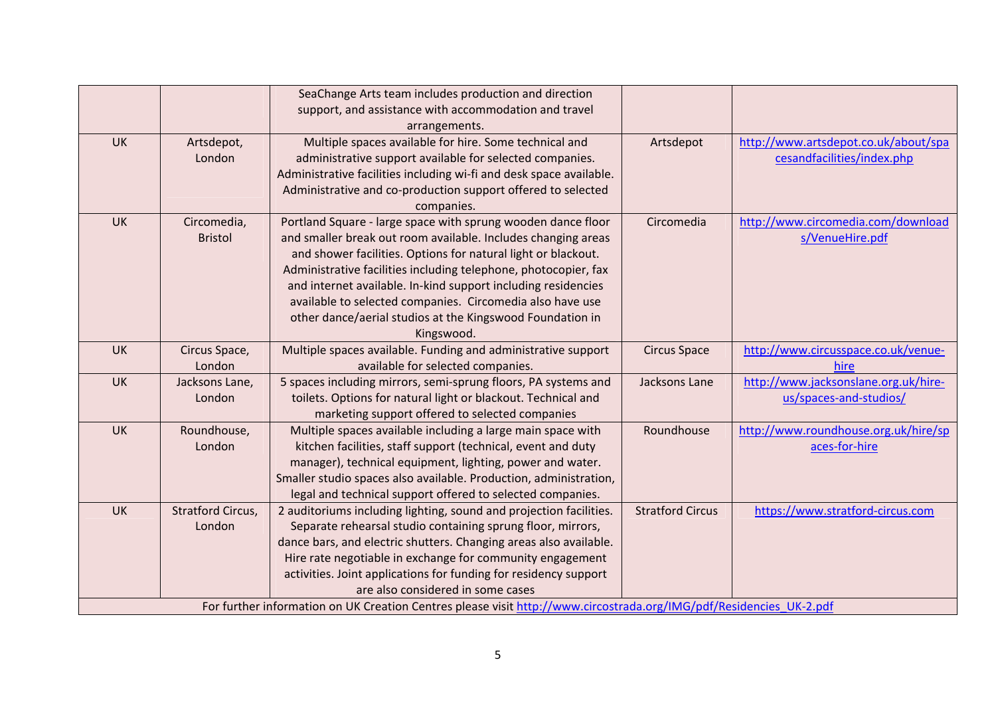|                                                                                                                     |                   | SeaChange Arts team includes production and direction<br>support, and assistance with accommodation and travel |                         |                                      |  |
|---------------------------------------------------------------------------------------------------------------------|-------------------|----------------------------------------------------------------------------------------------------------------|-------------------------|--------------------------------------|--|
|                                                                                                                     |                   | arrangements.                                                                                                  |                         |                                      |  |
| <b>UK</b>                                                                                                           | Artsdepot,        | Multiple spaces available for hire. Some technical and                                                         | Artsdepot               | http://www.artsdepot.co.uk/about/spa |  |
|                                                                                                                     | London            | administrative support available for selected companies.                                                       |                         | cesandfacilities/index.php           |  |
|                                                                                                                     |                   | Administrative facilities including wi-fi and desk space available.                                            |                         |                                      |  |
|                                                                                                                     |                   | Administrative and co-production support offered to selected                                                   |                         |                                      |  |
|                                                                                                                     |                   | companies.                                                                                                     |                         |                                      |  |
| <b>UK</b>                                                                                                           | Circomedia,       | Portland Square - large space with sprung wooden dance floor                                                   | Circomedia              | http://www.circomedia.com/download   |  |
|                                                                                                                     | <b>Bristol</b>    | and smaller break out room available. Includes changing areas                                                  |                         | s/VenueHire.pdf                      |  |
|                                                                                                                     |                   | and shower facilities. Options for natural light or blackout.                                                  |                         |                                      |  |
|                                                                                                                     |                   | Administrative facilities including telephone, photocopier, fax                                                |                         |                                      |  |
|                                                                                                                     |                   | and internet available. In-kind support including residencies                                                  |                         |                                      |  |
|                                                                                                                     |                   | available to selected companies. Circomedia also have use                                                      |                         |                                      |  |
|                                                                                                                     |                   | other dance/aerial studios at the Kingswood Foundation in                                                      |                         |                                      |  |
|                                                                                                                     |                   | Kingswood.                                                                                                     |                         |                                      |  |
| <b>UK</b>                                                                                                           | Circus Space,     | Multiple spaces available. Funding and administrative support                                                  | <b>Circus Space</b>     | http://www.circusspace.co.uk/venue-  |  |
|                                                                                                                     | London            | available for selected companies.                                                                              |                         | hire                                 |  |
| <b>UK</b>                                                                                                           | Jacksons Lane,    | 5 spaces including mirrors, semi-sprung floors, PA systems and                                                 | Jacksons Lane           | http://www.jacksonslane.org.uk/hire- |  |
|                                                                                                                     | London            | toilets. Options for natural light or blackout. Technical and                                                  |                         | us/spaces-and-studios/               |  |
|                                                                                                                     |                   | marketing support offered to selected companies                                                                |                         |                                      |  |
| <b>UK</b>                                                                                                           | Roundhouse,       | Multiple spaces available including a large main space with                                                    | Roundhouse              | http://www.roundhouse.org.uk/hire/sp |  |
|                                                                                                                     | London            | kitchen facilities, staff support (technical, event and duty                                                   |                         | aces-for-hire                        |  |
|                                                                                                                     |                   | manager), technical equipment, lighting, power and water.                                                      |                         |                                      |  |
|                                                                                                                     |                   | Smaller studio spaces also available. Production, administration,                                              |                         |                                      |  |
|                                                                                                                     |                   | legal and technical support offered to selected companies.                                                     |                         |                                      |  |
| <b>UK</b>                                                                                                           | Stratford Circus, | 2 auditoriums including lighting, sound and projection facilities.                                             | <b>Stratford Circus</b> | https://www.stratford-circus.com     |  |
|                                                                                                                     | London            | Separate rehearsal studio containing sprung floor, mirrors,                                                    |                         |                                      |  |
|                                                                                                                     |                   | dance bars, and electric shutters. Changing areas also available.                                              |                         |                                      |  |
|                                                                                                                     |                   | Hire rate negotiable in exchange for community engagement                                                      |                         |                                      |  |
|                                                                                                                     |                   | activities. Joint applications for funding for residency support<br>are also considered in some cases          |                         |                                      |  |
|                                                                                                                     |                   |                                                                                                                |                         |                                      |  |
| For further information on UK Creation Centres please visit http://www.circostrada.org/IMG/pdf/Residencies UK-2.pdf |                   |                                                                                                                |                         |                                      |  |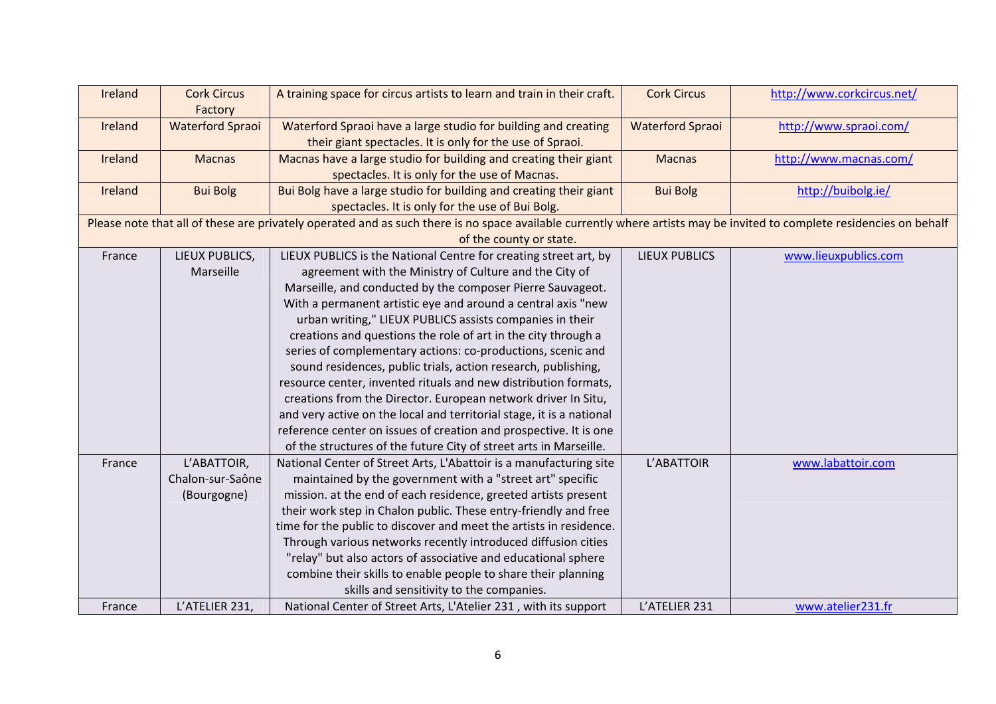| Ireland | <b>Cork Circus</b><br>Factory | A training space for circus artists to learn and train in their craft.                                                                                                | <b>Cork Circus</b>      | http://www.corkcircus.net/ |
|---------|-------------------------------|-----------------------------------------------------------------------------------------------------------------------------------------------------------------------|-------------------------|----------------------------|
| Ireland | <b>Waterford Spraoi</b>       | Waterford Spraoi have a large studio for building and creating                                                                                                        | <b>Waterford Spraoi</b> | http://www.spraoi.com/     |
|         |                               | their giant spectacles. It is only for the use of Spraoi.                                                                                                             |                         |                            |
| Ireland | <b>Macnas</b>                 | Macnas have a large studio for building and creating their giant                                                                                                      | <b>Macnas</b>           | http://www.macnas.com/     |
|         |                               | spectacles. It is only for the use of Macnas.                                                                                                                         |                         |                            |
| Ireland | <b>Bui Bolg</b>               | Bui Bolg have a large studio for building and creating their giant                                                                                                    | <b>Bui Bolg</b>         | http://buibolg.ie/         |
|         |                               | spectacles. It is only for the use of Bui Bolg.                                                                                                                       |                         |                            |
|         |                               | Please note that all of these are privately operated and as such there is no space available currently where artists may be invited to complete residencies on behalf |                         |                            |
|         |                               | of the county or state.                                                                                                                                               |                         |                            |
| France  | LIEUX PUBLICS,                | LIEUX PUBLICS is the National Centre for creating street art, by                                                                                                      | <b>LIEUX PUBLICS</b>    | www.lieuxpublics.com       |
|         | Marseille                     | agreement with the Ministry of Culture and the City of                                                                                                                |                         |                            |
|         |                               | Marseille, and conducted by the composer Pierre Sauvageot.                                                                                                            |                         |                            |
|         |                               | With a permanent artistic eye and around a central axis "new                                                                                                          |                         |                            |
|         |                               | urban writing," LIEUX PUBLICS assists companies in their                                                                                                              |                         |                            |
|         |                               | creations and questions the role of art in the city through a                                                                                                         |                         |                            |
|         |                               | series of complementary actions: co-productions, scenic and                                                                                                           |                         |                            |
|         |                               | sound residences, public trials, action research, publishing,                                                                                                         |                         |                            |
|         |                               | resource center, invented rituals and new distribution formats,                                                                                                       |                         |                            |
|         |                               | creations from the Director. European network driver In Situ,                                                                                                         |                         |                            |
|         |                               | and very active on the local and territorial stage, it is a national                                                                                                  |                         |                            |
|         |                               | reference center on issues of creation and prospective. It is one                                                                                                     |                         |                            |
|         |                               | of the structures of the future City of street arts in Marseille.                                                                                                     |                         |                            |
| France  | L'ABATTOIR,                   | National Center of Street Arts, L'Abattoir is a manufacturing site                                                                                                    | L'ABATTOIR              | www.labattoir.com          |
|         | Chalon-sur-Saône              | maintained by the government with a "street art" specific                                                                                                             |                         |                            |
|         | (Bourgogne)                   | mission. at the end of each residence, greeted artists present                                                                                                        |                         |                            |
|         |                               | their work step in Chalon public. These entry-friendly and free                                                                                                       |                         |                            |
|         |                               | time for the public to discover and meet the artists in residence.                                                                                                    |                         |                            |
|         |                               | Through various networks recently introduced diffusion cities                                                                                                         |                         |                            |
|         |                               | "relay" but also actors of associative and educational sphere                                                                                                         |                         |                            |
|         |                               | combine their skills to enable people to share their planning                                                                                                         |                         |                            |
|         |                               | skills and sensitivity to the companies.                                                                                                                              |                         |                            |
| France  | L'ATELIER 231,                | National Center of Street Arts, L'Atelier 231, with its support                                                                                                       | L'ATELIER 231           | www.atelier231.fr          |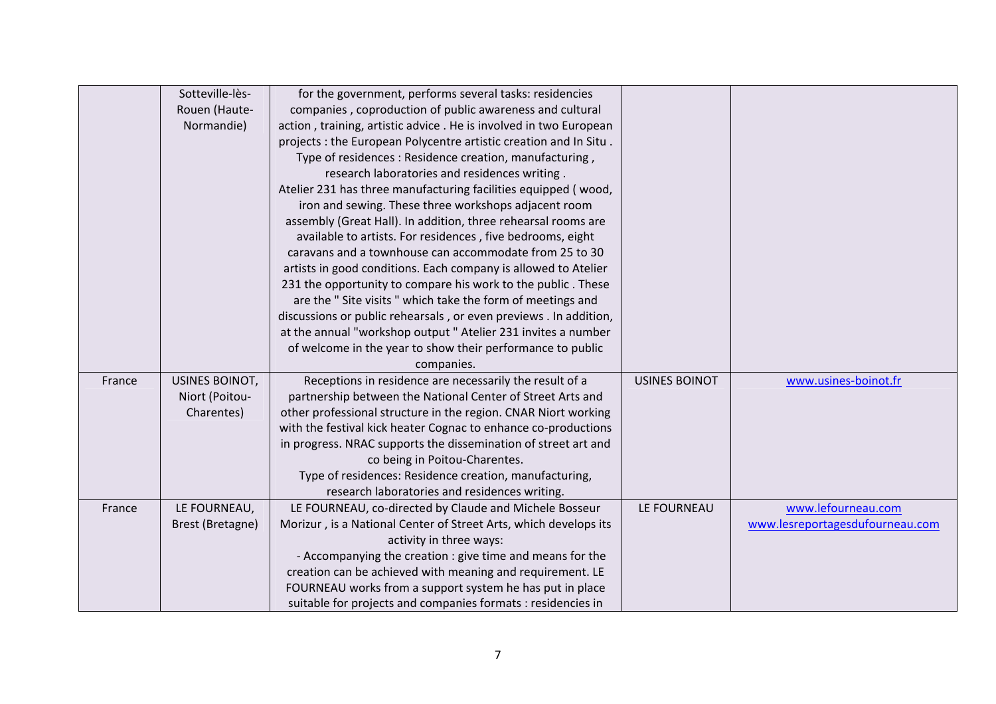|        | Sotteville-lès-  | for the government, performs several tasks: residencies           |                      |                                 |
|--------|------------------|-------------------------------------------------------------------|----------------------|---------------------------------|
|        | Rouen (Haute-    | companies, coproduction of public awareness and cultural          |                      |                                 |
|        | Normandie)       | action, training, artistic advice. He is involved in two European |                      |                                 |
|        |                  | projects : the European Polycentre artistic creation and In Situ. |                      |                                 |
|        |                  | Type of residences: Residence creation, manufacturing,            |                      |                                 |
|        |                  | research laboratories and residences writing.                     |                      |                                 |
|        |                  | Atelier 231 has three manufacturing facilities equipped (wood,    |                      |                                 |
|        |                  | iron and sewing. These three workshops adjacent room              |                      |                                 |
|        |                  | assembly (Great Hall). In addition, three rehearsal rooms are     |                      |                                 |
|        |                  | available to artists. For residences, five bedrooms, eight        |                      |                                 |
|        |                  | caravans and a townhouse can accommodate from 25 to 30            |                      |                                 |
|        |                  | artists in good conditions. Each company is allowed to Atelier    |                      |                                 |
|        |                  | 231 the opportunity to compare his work to the public. These      |                      |                                 |
|        |                  | are the "Site visits " which take the form of meetings and        |                      |                                 |
|        |                  | discussions or public rehearsals, or even previews . In addition, |                      |                                 |
|        |                  | at the annual "workshop output " Atelier 231 invites a number     |                      |                                 |
|        |                  | of welcome in the year to show their performance to public        |                      |                                 |
|        |                  | companies.                                                        |                      |                                 |
| France | USINES BOINOT,   | Receptions in residence are necessarily the result of a           | <b>USINES BOINOT</b> | www.usines-boinot.fr            |
|        | Niort (Poitou-   | partnership between the National Center of Street Arts and        |                      |                                 |
|        | Charentes)       | other professional structure in the region. CNAR Niort working    |                      |                                 |
|        |                  | with the festival kick heater Cognac to enhance co-productions    |                      |                                 |
|        |                  | in progress. NRAC supports the dissemination of street art and    |                      |                                 |
|        |                  | co being in Poitou-Charentes.                                     |                      |                                 |
|        |                  | Type of residences: Residence creation, manufacturing,            |                      |                                 |
|        |                  | research laboratories and residences writing.                     |                      |                                 |
| France | LE FOURNEAU,     | LE FOURNEAU, co-directed by Claude and Michele Bosseur            | LE FOURNEAU          | www.lefourneau.com              |
|        | Brest (Bretagne) | Morizur, is a National Center of Street Arts, which develops its  |                      | www.lesreportagesdufourneau.com |
|        |                  | activity in three ways:                                           |                      |                                 |
|        |                  | - Accompanying the creation : give time and means for the         |                      |                                 |
|        |                  | creation can be achieved with meaning and requirement. LE         |                      |                                 |
|        |                  | FOURNEAU works from a support system he has put in place          |                      |                                 |
|        |                  | suitable for projects and companies formats : residencies in      |                      |                                 |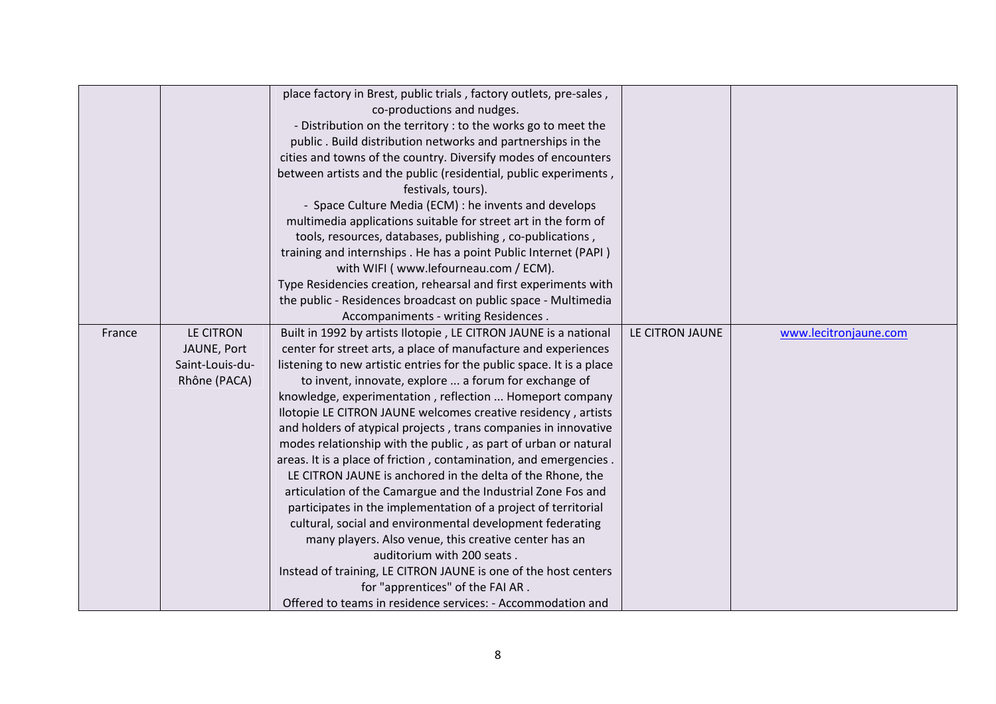|        |                                                             | place factory in Brest, public trials, factory outlets, pre-sales,<br>co-productions and nudges.<br>- Distribution on the territory : to the works go to meet the<br>public. Build distribution networks and partnerships in the<br>cities and towns of the country. Diversify modes of encounters<br>between artists and the public (residential, public experiments,                                                                                                                                                                                                                                                                                                                                                                                                                                                                                                                                                                                                                                                                                                                                                                 |                 |                       |
|--------|-------------------------------------------------------------|----------------------------------------------------------------------------------------------------------------------------------------------------------------------------------------------------------------------------------------------------------------------------------------------------------------------------------------------------------------------------------------------------------------------------------------------------------------------------------------------------------------------------------------------------------------------------------------------------------------------------------------------------------------------------------------------------------------------------------------------------------------------------------------------------------------------------------------------------------------------------------------------------------------------------------------------------------------------------------------------------------------------------------------------------------------------------------------------------------------------------------------|-----------------|-----------------------|
|        |                                                             | festivals, tours).<br>- Space Culture Media (ECM) : he invents and develops<br>multimedia applications suitable for street art in the form of<br>tools, resources, databases, publishing, co-publications,<br>training and internships. He has a point Public Internet (PAPI)                                                                                                                                                                                                                                                                                                                                                                                                                                                                                                                                                                                                                                                                                                                                                                                                                                                          |                 |                       |
|        |                                                             | with WIFI (www.lefourneau.com / ECM).<br>Type Residencies creation, rehearsal and first experiments with<br>the public - Residences broadcast on public space - Multimedia<br>Accompaniments - writing Residences.                                                                                                                                                                                                                                                                                                                                                                                                                                                                                                                                                                                                                                                                                                                                                                                                                                                                                                                     |                 |                       |
| France | LE CITRON<br>JAUNE, Port<br>Saint-Louis-du-<br>Rhône (PACA) | Built in 1992 by artists Ilotopie, LE CITRON JAUNE is a national<br>center for street arts, a place of manufacture and experiences<br>listening to new artistic entries for the public space. It is a place<br>to invent, innovate, explore  a forum for exchange of<br>knowledge, experimentation, reflection  Homeport company<br>Ilotopie LE CITRON JAUNE welcomes creative residency, artists<br>and holders of atypical projects, trans companies in innovative<br>modes relationship with the public, as part of urban or natural<br>areas. It is a place of friction, contamination, and emergencies.<br>LE CITRON JAUNE is anchored in the delta of the Rhone, the<br>articulation of the Camargue and the Industrial Zone Fos and<br>participates in the implementation of a project of territorial<br>cultural, social and environmental development federating<br>many players. Also venue, this creative center has an<br>auditorium with 200 seats.<br>Instead of training, LE CITRON JAUNE is one of the host centers<br>for "apprentices" of the FAI AR.<br>Offered to teams in residence services: - Accommodation and | LE CITRON JAUNE | www.lecitronjaune.com |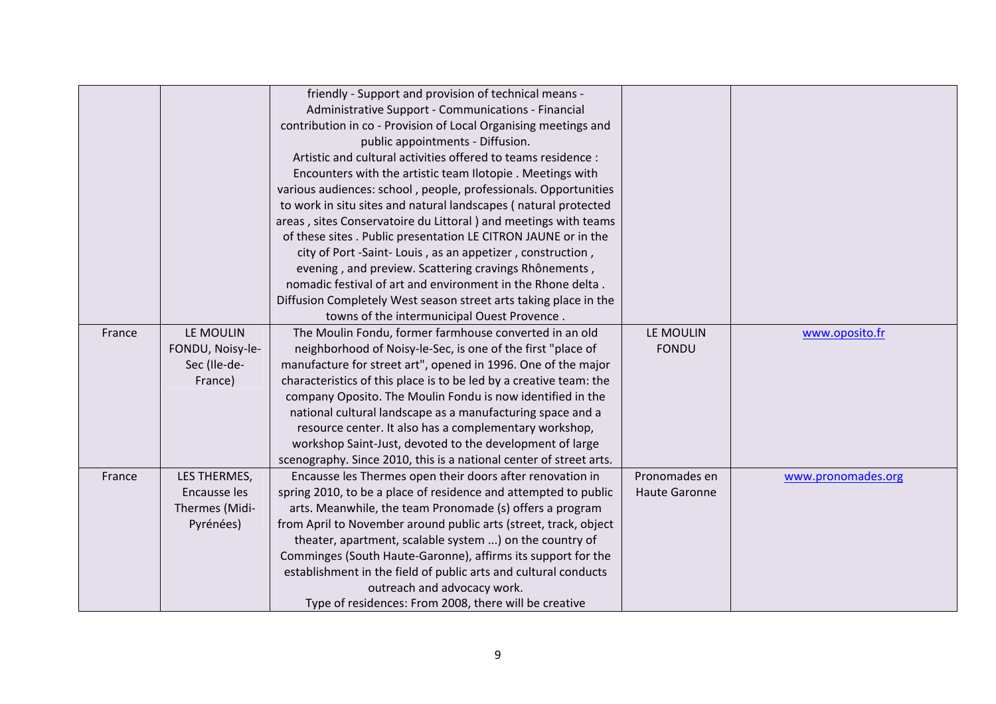|        |                  | friendly - Support and provision of technical means -              |                      |                    |
|--------|------------------|--------------------------------------------------------------------|----------------------|--------------------|
|        |                  | Administrative Support - Communications - Financial                |                      |                    |
|        |                  | contribution in co - Provision of Local Organising meetings and    |                      |                    |
|        |                  | public appointments - Diffusion.                                   |                      |                    |
|        |                  | Artistic and cultural activities offered to teams residence :      |                      |                    |
|        |                  | Encounters with the artistic team Ilotopie . Meetings with         |                      |                    |
|        |                  | various audiences: school, people, professionals. Opportunities    |                      |                    |
|        |                  | to work in situ sites and natural landscapes (natural protected    |                      |                    |
|        |                  | areas, sites Conservatoire du Littoral) and meetings with teams    |                      |                    |
|        |                  | of these sites . Public presentation LE CITRON JAUNE or in the     |                      |                    |
|        |                  | city of Port -Saint-Louis, as an appetizer, construction,          |                      |                    |
|        |                  | evening, and preview. Scattering cravings Rhônements,              |                      |                    |
|        |                  | nomadic festival of art and environment in the Rhone delta.        |                      |                    |
|        |                  | Diffusion Completely West season street arts taking place in the   |                      |                    |
|        |                  | towns of the intermunicipal Ouest Provence.                        |                      |                    |
| France | LE MOULIN        | The Moulin Fondu, former farmhouse converted in an old             | LE MOULIN            | www.oposito.fr     |
|        | FONDU, Noisy-le- | neighborhood of Noisy-le-Sec, is one of the first "place of        | <b>FONDU</b>         |                    |
|        | Sec (Ile-de-     | manufacture for street art", opened in 1996. One of the major      |                      |                    |
|        | France)          | characteristics of this place is to be led by a creative team: the |                      |                    |
|        |                  | company Oposito. The Moulin Fondu is now identified in the         |                      |                    |
|        |                  | national cultural landscape as a manufacturing space and a         |                      |                    |
|        |                  | resource center. It also has a complementary workshop,             |                      |                    |
|        |                  | workshop Saint-Just, devoted to the development of large           |                      |                    |
|        |                  | scenography. Since 2010, this is a national center of street arts. |                      |                    |
| France | LES THERMES,     | Encausse les Thermes open their doors after renovation in          | Pronomades en        | www.pronomades.org |
|        | Encausse les     | spring 2010, to be a place of residence and attempted to public    | <b>Haute Garonne</b> |                    |
|        | Thermes (Midi-   | arts. Meanwhile, the team Pronomade (s) offers a program           |                      |                    |
|        | Pyrénées)        | from April to November around public arts (street, track, object   |                      |                    |
|        |                  | theater, apartment, scalable system ) on the country of            |                      |                    |
|        |                  | Comminges (South Haute-Garonne), affirms its support for the       |                      |                    |
|        |                  | establishment in the field of public arts and cultural conducts    |                      |                    |
|        |                  | outreach and advocacy work.                                        |                      |                    |
|        |                  | Type of residences: From 2008, there will be creative              |                      |                    |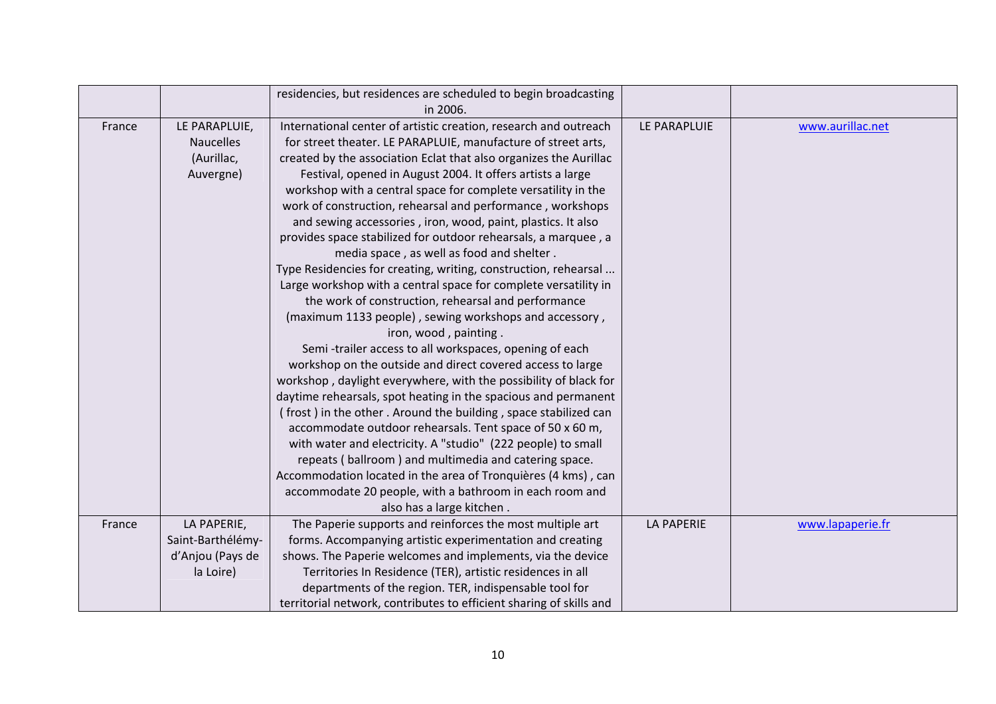|        |                   | residencies, but residences are scheduled to begin broadcasting     |                   |                  |
|--------|-------------------|---------------------------------------------------------------------|-------------------|------------------|
|        |                   | in 2006.                                                            |                   |                  |
| France | LE PARAPLUIE,     | International center of artistic creation, research and outreach    | LE PARAPLUIE      | www.aurillac.net |
|        | <b>Naucelles</b>  | for street theater. LE PARAPLUIE, manufacture of street arts,       |                   |                  |
|        | (Aurillac,        | created by the association Eclat that also organizes the Aurillac   |                   |                  |
|        | Auvergne)         | Festival, opened in August 2004. It offers artists a large          |                   |                  |
|        |                   | workshop with a central space for complete versatility in the       |                   |                  |
|        |                   | work of construction, rehearsal and performance, workshops          |                   |                  |
|        |                   | and sewing accessories, iron, wood, paint, plastics. It also        |                   |                  |
|        |                   | provides space stabilized for outdoor rehearsals, a marquee, a      |                   |                  |
|        |                   | media space, as well as food and shelter.                           |                   |                  |
|        |                   | Type Residencies for creating, writing, construction, rehearsal     |                   |                  |
|        |                   | Large workshop with a central space for complete versatility in     |                   |                  |
|        |                   | the work of construction, rehearsal and performance                 |                   |                  |
|        |                   | (maximum 1133 people), sewing workshops and accessory,              |                   |                  |
|        |                   | iron, wood, painting.                                               |                   |                  |
|        |                   | Semi-trailer access to all workspaces, opening of each              |                   |                  |
|        |                   | workshop on the outside and direct covered access to large          |                   |                  |
|        |                   | workshop, daylight everywhere, with the possibility of black for    |                   |                  |
|        |                   | daytime rehearsals, spot heating in the spacious and permanent      |                   |                  |
|        |                   | (frost) in the other. Around the building, space stabilized can     |                   |                  |
|        |                   | accommodate outdoor rehearsals. Tent space of 50 x 60 m,            |                   |                  |
|        |                   | with water and electricity. A "studio" (222 people) to small        |                   |                  |
|        |                   | repeats (ballroom) and multimedia and catering space.               |                   |                  |
|        |                   | Accommodation located in the area of Tronquières (4 kms), can       |                   |                  |
|        |                   | accommodate 20 people, with a bathroom in each room and             |                   |                  |
|        |                   | also has a large kitchen.                                           |                   |                  |
| France | LA PAPERIE,       | The Paperie supports and reinforces the most multiple art           | <b>LA PAPERIE</b> | www.lapaperie.fr |
|        | Saint-Barthélémy- | forms. Accompanying artistic experimentation and creating           |                   |                  |
|        | d'Anjou (Pays de  | shows. The Paperie welcomes and implements, via the device          |                   |                  |
|        | la Loire)         | Territories In Residence (TER), artistic residences in all          |                   |                  |
|        |                   | departments of the region. TER, indispensable tool for              |                   |                  |
|        |                   | territorial network, contributes to efficient sharing of skills and |                   |                  |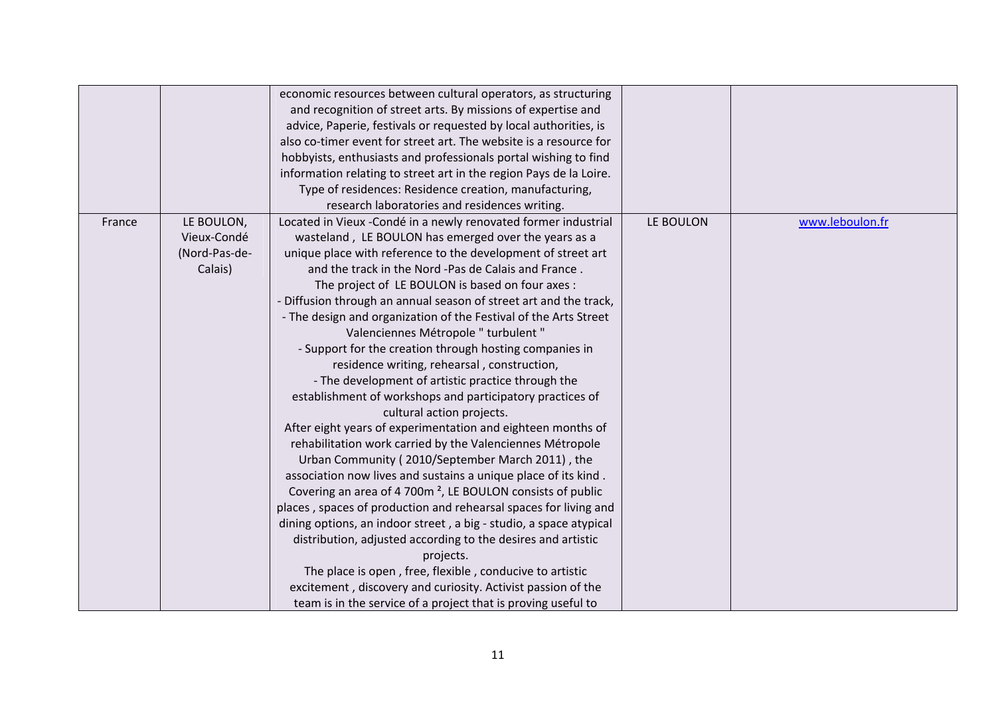|        |               | economic resources between cultural operators, as structuring<br>and recognition of street arts. By missions of expertise and |           |                 |
|--------|---------------|-------------------------------------------------------------------------------------------------------------------------------|-----------|-----------------|
|        |               | advice, Paperie, festivals or requested by local authorities, is                                                              |           |                 |
|        |               | also co-timer event for street art. The website is a resource for                                                             |           |                 |
|        |               | hobbyists, enthusiasts and professionals portal wishing to find                                                               |           |                 |
|        |               | information relating to street art in the region Pays de la Loire.                                                            |           |                 |
|        |               | Type of residences: Residence creation, manufacturing,                                                                        |           |                 |
|        |               | research laboratories and residences writing.                                                                                 |           |                 |
| France | LE BOULON,    | Located in Vieux - Condé in a newly renovated former industrial                                                               | LE BOULON | www.leboulon.fr |
|        | Vieux-Condé   | wasteland, LE BOULON has emerged over the years as a                                                                          |           |                 |
|        | (Nord-Pas-de- | unique place with reference to the development of street art                                                                  |           |                 |
|        | Calais)       | and the track in the Nord -Pas de Calais and France.                                                                          |           |                 |
|        |               | The project of LE BOULON is based on four axes :                                                                              |           |                 |
|        |               | - Diffusion through an annual season of street art and the track,                                                             |           |                 |
|        |               | - The design and organization of the Festival of the Arts Street                                                              |           |                 |
|        |               | Valenciennes Métropole " turbulent "                                                                                          |           |                 |
|        |               | - Support for the creation through hosting companies in                                                                       |           |                 |
|        |               | residence writing, rehearsal, construction,                                                                                   |           |                 |
|        |               | - The development of artistic practice through the                                                                            |           |                 |
|        |               | establishment of workshops and participatory practices of                                                                     |           |                 |
|        |               | cultural action projects.                                                                                                     |           |                 |
|        |               | After eight years of experimentation and eighteen months of                                                                   |           |                 |
|        |               | rehabilitation work carried by the Valenciennes Métropole                                                                     |           |                 |
|        |               | Urban Community (2010/September March 2011), the                                                                              |           |                 |
|        |               | association now lives and sustains a unique place of its kind.                                                                |           |                 |
|        |               | Covering an area of 4 700m <sup>2</sup> , LE BOULON consists of public                                                        |           |                 |
|        |               | places, spaces of production and rehearsal spaces for living and                                                              |           |                 |
|        |               | dining options, an indoor street, a big - studio, a space atypical                                                            |           |                 |
|        |               | distribution, adjusted according to the desires and artistic                                                                  |           |                 |
|        |               | projects.                                                                                                                     |           |                 |
|        |               | The place is open, free, flexible, conducive to artistic                                                                      |           |                 |
|        |               | excitement, discovery and curiosity. Activist passion of the                                                                  |           |                 |
|        |               | team is in the service of a project that is proving useful to                                                                 |           |                 |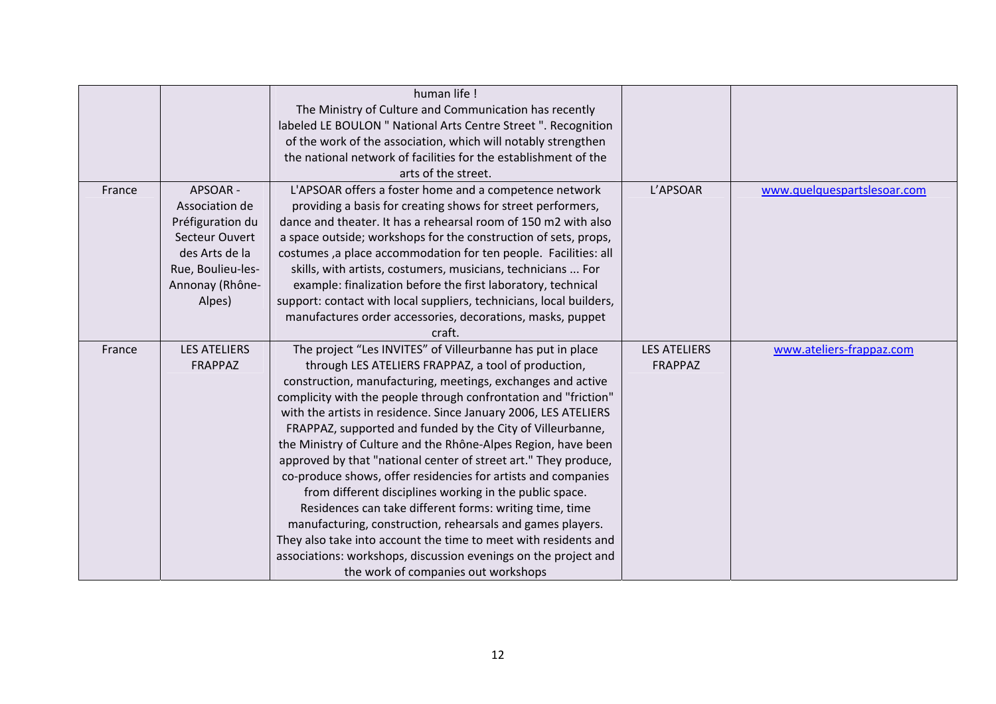|        |                                                                                                                                      | human life!<br>The Ministry of Culture and Communication has recently<br>labeled LE BOULON " National Arts Centre Street ". Recognition<br>of the work of the association, which will notably strengthen<br>the national network of facilities for the establishment of the<br>arts of the street.                                                                                                                                                                                                                                                                                                                                                                                                                                                                                                                                                                                                                                                         |                                |                             |
|--------|--------------------------------------------------------------------------------------------------------------------------------------|------------------------------------------------------------------------------------------------------------------------------------------------------------------------------------------------------------------------------------------------------------------------------------------------------------------------------------------------------------------------------------------------------------------------------------------------------------------------------------------------------------------------------------------------------------------------------------------------------------------------------------------------------------------------------------------------------------------------------------------------------------------------------------------------------------------------------------------------------------------------------------------------------------------------------------------------------------|--------------------------------|-----------------------------|
| France | APSOAR -<br>Association de<br>Préfiguration du<br>Secteur Ouvert<br>des Arts de la<br>Rue, Boulieu-les-<br>Annonay (Rhône-<br>Alpes) | L'APSOAR offers a foster home and a competence network<br>providing a basis for creating shows for street performers,<br>dance and theater. It has a rehearsal room of 150 m2 with also<br>a space outside; workshops for the construction of sets, props,<br>costumes, a place accommodation for ten people. Facilities: all<br>skills, with artists, costumers, musicians, technicians  For<br>example: finalization before the first laboratory, technical<br>support: contact with local suppliers, technicians, local builders,<br>manufactures order accessories, decorations, masks, puppet<br>craft.                                                                                                                                                                                                                                                                                                                                               | L'APSOAR                       | www.quelquespartslesoar.com |
| France | <b>LES ATELIERS</b><br>FRAPPAZ                                                                                                       | The project "Les INVITES" of Villeurbanne has put in place<br>through LES ATELIERS FRAPPAZ, a tool of production,<br>construction, manufacturing, meetings, exchanges and active<br>complicity with the people through confrontation and "friction"<br>with the artists in residence. Since January 2006, LES ATELIERS<br>FRAPPAZ, supported and funded by the City of Villeurbanne,<br>the Ministry of Culture and the Rhône-Alpes Region, have been<br>approved by that "national center of street art." They produce,<br>co-produce shows, offer residencies for artists and companies<br>from different disciplines working in the public space.<br>Residences can take different forms: writing time, time<br>manufacturing, construction, rehearsals and games players.<br>They also take into account the time to meet with residents and<br>associations: workshops, discussion evenings on the project and<br>the work of companies out workshops | <b>LES ATELIERS</b><br>FRAPPAZ | www.ateliers-frappaz.com    |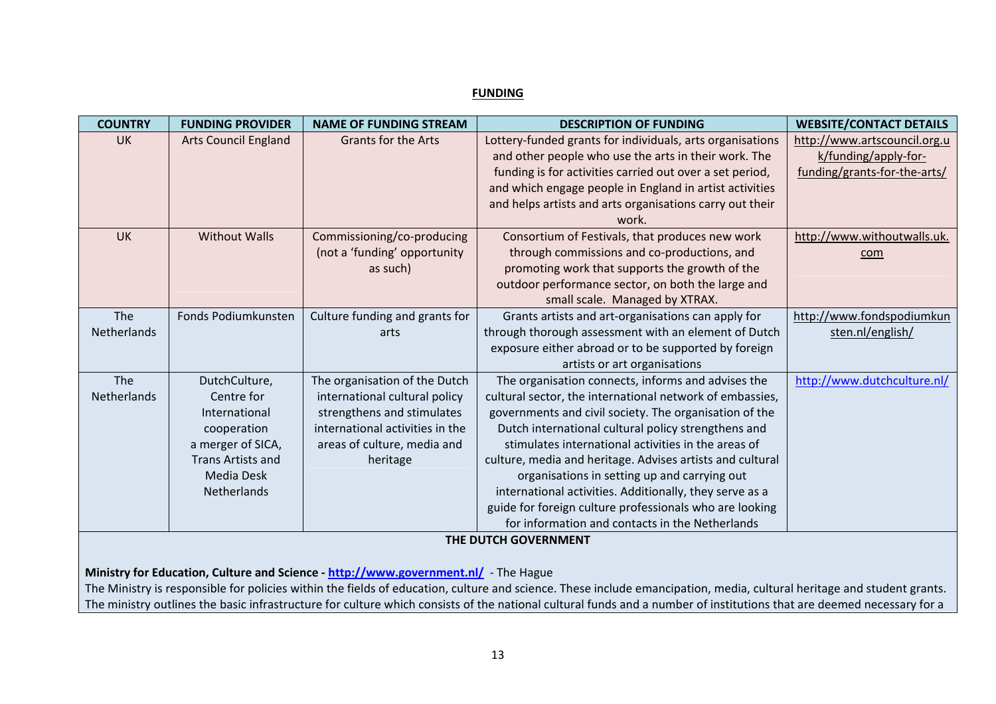#### **FUNDING**

| <b>COUNTRY</b> | <b>FUNDING PROVIDER</b>     | <b>NAME OF FUNDING STREAM</b>                                                       | <b>DESCRIPTION OF FUNDING</b>                                                                                                                                          | <b>WEBSITE/CONTACT DETAILS</b> |  |  |
|----------------|-----------------------------|-------------------------------------------------------------------------------------|------------------------------------------------------------------------------------------------------------------------------------------------------------------------|--------------------------------|--|--|
| <b>UK</b>      | <b>Arts Council England</b> | <b>Grants for the Arts</b>                                                          | Lottery-funded grants for individuals, arts organisations                                                                                                              | http://www.artscouncil.org.u   |  |  |
|                |                             |                                                                                     | and other people who use the arts in their work. The                                                                                                                   | k/funding/apply-for-           |  |  |
|                |                             |                                                                                     | funding is for activities carried out over a set period,                                                                                                               | funding/grants-for-the-arts/   |  |  |
|                |                             |                                                                                     | and which engage people in England in artist activities                                                                                                                |                                |  |  |
|                |                             |                                                                                     | and helps artists and arts organisations carry out their                                                                                                               |                                |  |  |
|                |                             |                                                                                     | work.                                                                                                                                                                  |                                |  |  |
| <b>UK</b>      | <b>Without Walls</b>        | Commissioning/co-producing                                                          | Consortium of Festivals, that produces new work                                                                                                                        | http://www.withoutwalls.uk.    |  |  |
|                |                             | (not a 'funding' opportunity                                                        | through commissions and co-productions, and                                                                                                                            | com                            |  |  |
|                |                             | as such)                                                                            | promoting work that supports the growth of the                                                                                                                         |                                |  |  |
|                |                             |                                                                                     | outdoor performance sector, on both the large and                                                                                                                      |                                |  |  |
|                |                             |                                                                                     | small scale. Managed by XTRAX.                                                                                                                                         |                                |  |  |
| The            | Fonds Podiumkunsten         | Culture funding and grants for                                                      | Grants artists and art-organisations can apply for                                                                                                                     | http://www.fondspodiumkun      |  |  |
| Netherlands    |                             | arts                                                                                | through thorough assessment with an element of Dutch                                                                                                                   | sten.nl/english/               |  |  |
|                |                             |                                                                                     | exposure either abroad or to be supported by foreign                                                                                                                   |                                |  |  |
|                |                             |                                                                                     | artists or art organisations                                                                                                                                           |                                |  |  |
| The            | DutchCulture,               | The organisation of the Dutch                                                       | The organisation connects, informs and advises the                                                                                                                     | http://www.dutchculture.nl/    |  |  |
| Netherlands    | Centre for                  | international cultural policy                                                       | cultural sector, the international network of embassies,                                                                                                               |                                |  |  |
|                | International               | strengthens and stimulates                                                          | governments and civil society. The organisation of the                                                                                                                 |                                |  |  |
|                | cooperation                 | international activities in the                                                     | Dutch international cultural policy strengthens and                                                                                                                    |                                |  |  |
|                | a merger of SICA,           | areas of culture, media and                                                         | stimulates international activities in the areas of                                                                                                                    |                                |  |  |
|                | <b>Trans Artists and</b>    | heritage                                                                            | culture, media and heritage. Advises artists and cultural                                                                                                              |                                |  |  |
|                | <b>Media Desk</b>           |                                                                                     | organisations in setting up and carrying out                                                                                                                           |                                |  |  |
|                | Netherlands                 |                                                                                     | international activities. Additionally, they serve as a                                                                                                                |                                |  |  |
|                |                             |                                                                                     | guide for foreign culture professionals who are looking<br>for information and contacts in the Netherlands                                                             |                                |  |  |
|                |                             |                                                                                     |                                                                                                                                                                        |                                |  |  |
|                | THE DUTCH GOVERNMENT        |                                                                                     |                                                                                                                                                                        |                                |  |  |
|                |                             | Ministry for Education, Culture and Science - http://www.government.nl/ - The Hague |                                                                                                                                                                        |                                |  |  |
|                |                             |                                                                                     | The Ministry is responsible for policies within the fields of education, culture and science. These include emancipation, media, cultural heritage and student grants. |                                |  |  |
|                |                             |                                                                                     |                                                                                                                                                                        |                                |  |  |

The ministry outlines the basic infrastructure for culture which consists of the national cultural funds and <sup>a</sup> number of institutions that are deemed necessary for <sup>a</sup>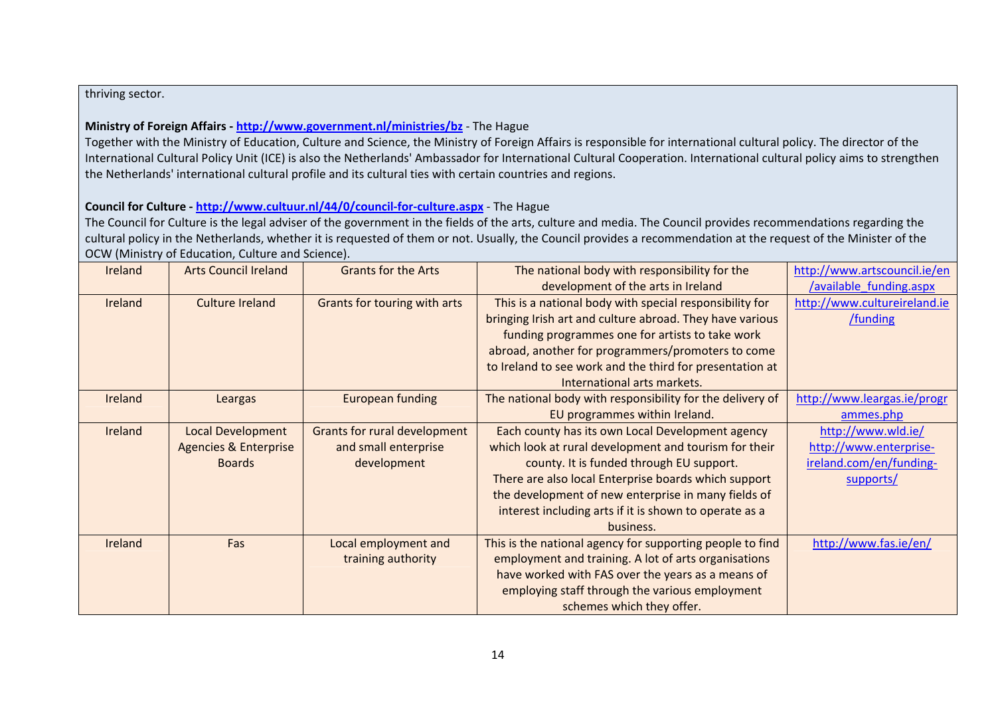## thriving sector.

# **Ministry of Foreign Affairs ‐ <http://www.government.nl/ministries/bz>** ‐ The Hague

Together with the Ministry of Education, Culture and Science, the Ministry of Foreign Affairs is responsible for international cultural policy. The director of the International Cultural Policy Unit (ICE) is also the Netherlands' Ambassador for International Cultural Cooperation. International cultural policy aims to strengthen the Netherlands' international cultural profile and its cultural ties with certain countries and regions.

# **Council for Culture ‐ [http://www.cultuur.nl/44/0/council](http://www.cultuur.nl/44/0/council-for-culture.aspx)‐for‐culture.aspx** ‐ The Hague

The Council for Culture is the legal adviser of the government in the fields of the arts, culture and media. The Council provides recommendations regarding the cultural policy in the Netherlands, whether it is requested of them or not. Usually, the Council provides <sup>a</sup> recommendation at the request of the Minister of the OCW (Ministry of Education, Culture and Science).

| Ireland | <b>Arts Council Ireland</b>      | <b>Grants for the Arts</b>          | The national body with responsibility for the             | http://www.artscouncil.ie/en |
|---------|----------------------------------|-------------------------------------|-----------------------------------------------------------|------------------------------|
|         |                                  |                                     | development of the arts in Ireland                        | /available funding.aspx      |
| Ireland | <b>Culture Ireland</b>           | Grants for touring with arts        | This is a national body with special responsibility for   | http://www.cultureireland.ie |
|         |                                  |                                     | bringing Irish art and culture abroad. They have various  | /funding                     |
|         |                                  |                                     | funding programmes one for artists to take work           |                              |
|         |                                  |                                     | abroad, another for programmers/promoters to come         |                              |
|         |                                  |                                     | to Ireland to see work and the third for presentation at  |                              |
|         |                                  |                                     | International arts markets.                               |                              |
| Ireland | Leargas                          | <b>European funding</b>             | The national body with responsibility for the delivery of | http://www.leargas.ie/progr  |
|         |                                  |                                     | EU programmes within Ireland.                             | ammes.php                    |
| Ireland | <b>Local Development</b>         | <b>Grants for rural development</b> | Each county has its own Local Development agency          | http://www.wld.ie/           |
|         | <b>Agencies &amp; Enterprise</b> | and small enterprise                | which look at rural development and tourism for their     | http://www.enterprise-       |
|         | <b>Boards</b>                    | development                         | county. It is funded through EU support.                  | ireland.com/en/funding-      |
|         |                                  |                                     | There are also local Enterprise boards which support      | supports/                    |
|         |                                  |                                     | the development of new enterprise in many fields of       |                              |
|         |                                  |                                     | interest including arts if it is shown to operate as a    |                              |
|         |                                  |                                     | business.                                                 |                              |
| Ireland | Fas                              | Local employment and                | This is the national agency for supporting people to find | http://www.fas.ie/en/        |
|         |                                  | training authority                  | employment and training. A lot of arts organisations      |                              |
|         |                                  |                                     | have worked with FAS over the years as a means of         |                              |
|         |                                  |                                     | employing staff through the various employment            |                              |
|         |                                  |                                     | schemes which they offer.                                 |                              |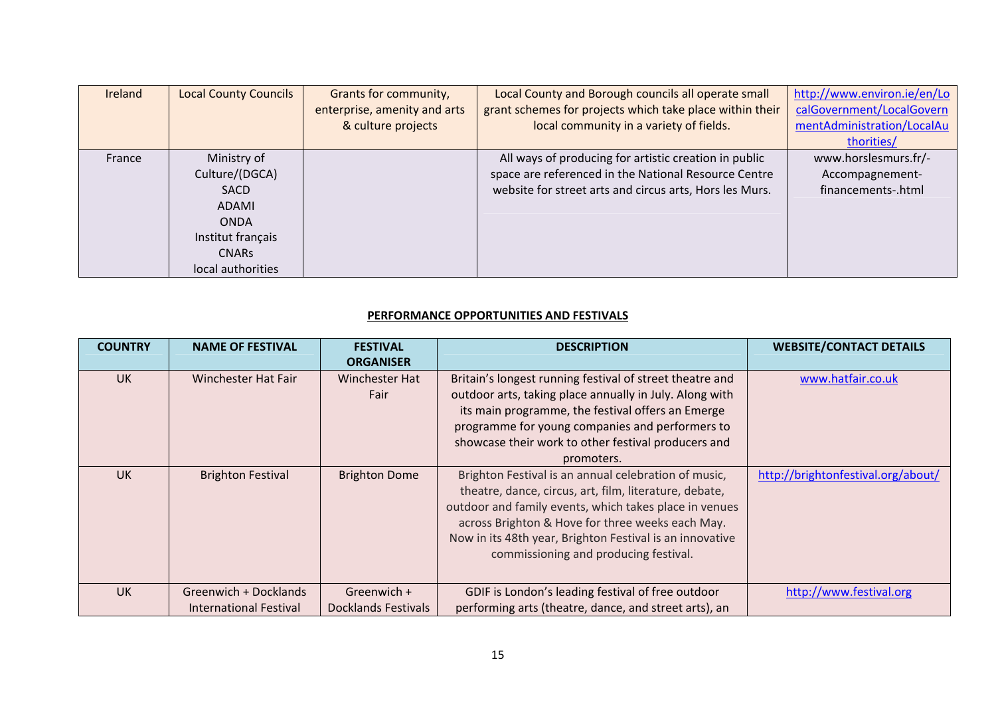| Ireland | <b>Local County Councils</b> | Grants for community,        | Local County and Borough councils all operate small      | http://www.environ.ie/en/Lo |
|---------|------------------------------|------------------------------|----------------------------------------------------------|-----------------------------|
|         |                              | enterprise, amenity and arts | grant schemes for projects which take place within their | calGovernment/LocalGovern   |
|         |                              | & culture projects           | local community in a variety of fields.                  | mentAdministration/LocalAu  |
|         |                              |                              |                                                          | thorities/                  |
| France  | Ministry of                  |                              | All ways of producing for artistic creation in public    | www.horslesmurs.fr/-        |
|         | Culture/(DGCA)               |                              | space are referenced in the National Resource Centre     | Accompagnement-             |
|         | <b>SACD</b>                  |                              | website for street arts and circus arts, Hors les Murs.  | financements-.html          |
|         | ADAMI                        |                              |                                                          |                             |
|         | <b>ONDA</b>                  |                              |                                                          |                             |
|         | Institut français            |                              |                                                          |                             |
|         | <b>CNARS</b>                 |                              |                                                          |                             |
|         | local authorities            |                              |                                                          |                             |

#### **PERFORMANCE OPPORTUNITIES AND FESTIVALS**

| <b>COUNTRY</b> | <b>NAME OF FESTIVAL</b>       | <b>FESTIVAL</b><br><b>ORGANISER</b> | <b>DESCRIPTION</b>                                                                                                                                                                                                                                                                                                                | <b>WEBSITE/CONTACT DETAILS</b>     |
|----------------|-------------------------------|-------------------------------------|-----------------------------------------------------------------------------------------------------------------------------------------------------------------------------------------------------------------------------------------------------------------------------------------------------------------------------------|------------------------------------|
| <b>UK</b>      | Winchester Hat Fair           | <b>Winchester Hat</b><br>Fair       | Britain's longest running festival of street theatre and<br>outdoor arts, taking place annually in July. Along with<br>its main programme, the festival offers an Emerge<br>programme for young companies and performers to<br>showcase their work to other festival producers and<br>promoters.                                  | www.hatfair.co.uk                  |
| <b>UK</b>      | <b>Brighton Festival</b>      | <b>Brighton Dome</b>                | Brighton Festival is an annual celebration of music,<br>theatre, dance, circus, art, film, literature, debate,<br>outdoor and family events, which takes place in venues<br>across Brighton & Hove for three weeks each May.<br>Now in its 48th year, Brighton Festival is an innovative<br>commissioning and producing festival. | http://brightonfestival.org/about/ |
| <b>UK</b>      | Greenwich + Docklands         | Greenwich $+$                       | GDIF is London's leading festival of free outdoor                                                                                                                                                                                                                                                                                 | http://www.festival.org            |
|                | <b>International Festival</b> | Docklands Festivals                 | performing arts (theatre, dance, and street arts), an                                                                                                                                                                                                                                                                             |                                    |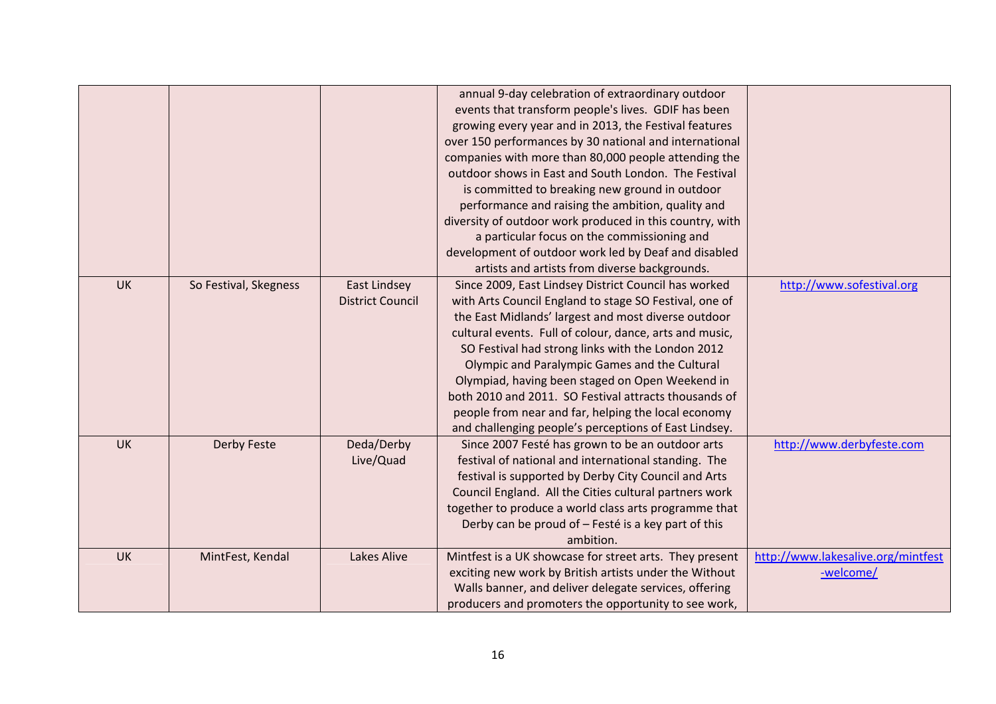|           |                       |                         | annual 9-day celebration of extraordinary outdoor        |                                    |
|-----------|-----------------------|-------------------------|----------------------------------------------------------|------------------------------------|
|           |                       |                         | events that transform people's lives. GDIF has been      |                                    |
|           |                       |                         | growing every year and in 2013, the Festival features    |                                    |
|           |                       |                         | over 150 performances by 30 national and international   |                                    |
|           |                       |                         | companies with more than 80,000 people attending the     |                                    |
|           |                       |                         | outdoor shows in East and South London. The Festival     |                                    |
|           |                       |                         | is committed to breaking new ground in outdoor           |                                    |
|           |                       |                         | performance and raising the ambition, quality and        |                                    |
|           |                       |                         | diversity of outdoor work produced in this country, with |                                    |
|           |                       |                         | a particular focus on the commissioning and              |                                    |
|           |                       |                         | development of outdoor work led by Deaf and disabled     |                                    |
|           |                       |                         | artists and artists from diverse backgrounds.            |                                    |
| <b>UK</b> | So Festival, Skegness | <b>East Lindsey</b>     | Since 2009, East Lindsey District Council has worked     | http://www.sofestival.org          |
|           |                       | <b>District Council</b> | with Arts Council England to stage SO Festival, one of   |                                    |
|           |                       |                         | the East Midlands' largest and most diverse outdoor      |                                    |
|           |                       |                         | cultural events. Full of colour, dance, arts and music,  |                                    |
|           |                       |                         | SO Festival had strong links with the London 2012        |                                    |
|           |                       |                         | Olympic and Paralympic Games and the Cultural            |                                    |
|           |                       |                         | Olympiad, having been staged on Open Weekend in          |                                    |
|           |                       |                         | both 2010 and 2011. SO Festival attracts thousands of    |                                    |
|           |                       |                         | people from near and far, helping the local economy      |                                    |
|           |                       |                         | and challenging people's perceptions of East Lindsey.    |                                    |
| <b>UK</b> | Derby Feste           | Deda/Derby              | Since 2007 Festé has grown to be an outdoor arts         | http://www.derbyfeste.com          |
|           |                       | Live/Quad               | festival of national and international standing. The     |                                    |
|           |                       |                         | festival is supported by Derby City Council and Arts     |                                    |
|           |                       |                         | Council England. All the Cities cultural partners work   |                                    |
|           |                       |                         | together to produce a world class arts programme that    |                                    |
|           |                       |                         | Derby can be proud of - Festé is a key part of this      |                                    |
|           |                       |                         | ambition.                                                |                                    |
| <b>UK</b> | MintFest, Kendal      | Lakes Alive             | Mintfest is a UK showcase for street arts. They present  | http://www.lakesalive.org/mintfest |
|           |                       |                         | exciting new work by British artists under the Without   | -welcome/                          |
|           |                       |                         | Walls banner, and deliver delegate services, offering    |                                    |
|           |                       |                         | producers and promoters the opportunity to see work,     |                                    |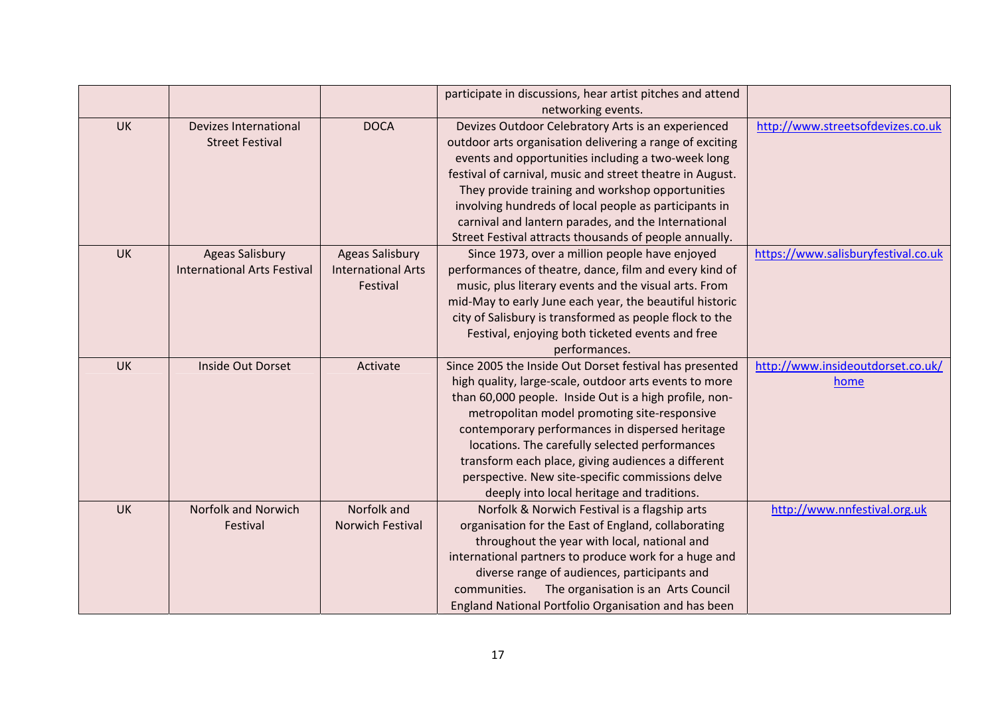|           |                                    |                           | participate in discussions, hear artist pitches and attend |                                     |
|-----------|------------------------------------|---------------------------|------------------------------------------------------------|-------------------------------------|
|           |                                    |                           | networking events.                                         |                                     |
| <b>UK</b> | <b>Devizes International</b>       | <b>DOCA</b>               | Devizes Outdoor Celebratory Arts is an experienced         | http://www.streetsofdevizes.co.uk   |
|           | <b>Street Festival</b>             |                           | outdoor arts organisation delivering a range of exciting   |                                     |
|           |                                    |                           | events and opportunities including a two-week long         |                                     |
|           |                                    |                           | festival of carnival, music and street theatre in August.  |                                     |
|           |                                    |                           | They provide training and workshop opportunities           |                                     |
|           |                                    |                           | involving hundreds of local people as participants in      |                                     |
|           |                                    |                           | carnival and lantern parades, and the International        |                                     |
|           |                                    |                           | Street Festival attracts thousands of people annually.     |                                     |
| <b>UK</b> | <b>Ageas Salisbury</b>             | <b>Ageas Salisbury</b>    | Since 1973, over a million people have enjoyed             | https://www.salisburyfestival.co.uk |
|           | <b>International Arts Festival</b> | <b>International Arts</b> | performances of theatre, dance, film and every kind of     |                                     |
|           |                                    | Festival                  | music, plus literary events and the visual arts. From      |                                     |
|           |                                    |                           | mid-May to early June each year, the beautiful historic    |                                     |
|           |                                    |                           | city of Salisbury is transformed as people flock to the    |                                     |
|           |                                    |                           | Festival, enjoying both ticketed events and free           |                                     |
|           |                                    |                           | performances.                                              |                                     |
| <b>UK</b> | Inside Out Dorset                  | Activate                  | Since 2005 the Inside Out Dorset festival has presented    | http://www.insideoutdorset.co.uk/   |
|           |                                    |                           | high quality, large-scale, outdoor arts events to more     | home                                |
|           |                                    |                           | than 60,000 people. Inside Out is a high profile, non-     |                                     |
|           |                                    |                           | metropolitan model promoting site-responsive               |                                     |
|           |                                    |                           | contemporary performances in dispersed heritage            |                                     |
|           |                                    |                           | locations. The carefully selected performances             |                                     |
|           |                                    |                           | transform each place, giving audiences a different         |                                     |
|           |                                    |                           | perspective. New site-specific commissions delve           |                                     |
|           |                                    |                           | deeply into local heritage and traditions.                 |                                     |
| <b>UK</b> | Norfolk and Norwich                | Norfolk and               | Norfolk & Norwich Festival is a flagship arts              | http://www.nnfestival.org.uk        |
|           | Festival                           | Norwich Festival          | organisation for the East of England, collaborating        |                                     |
|           |                                    |                           | throughout the year with local, national and               |                                     |
|           |                                    |                           | international partners to produce work for a huge and      |                                     |
|           |                                    |                           | diverse range of audiences, participants and               |                                     |
|           |                                    |                           | The organisation is an Arts Council<br>communities.        |                                     |
|           |                                    |                           | England National Portfolio Organisation and has been       |                                     |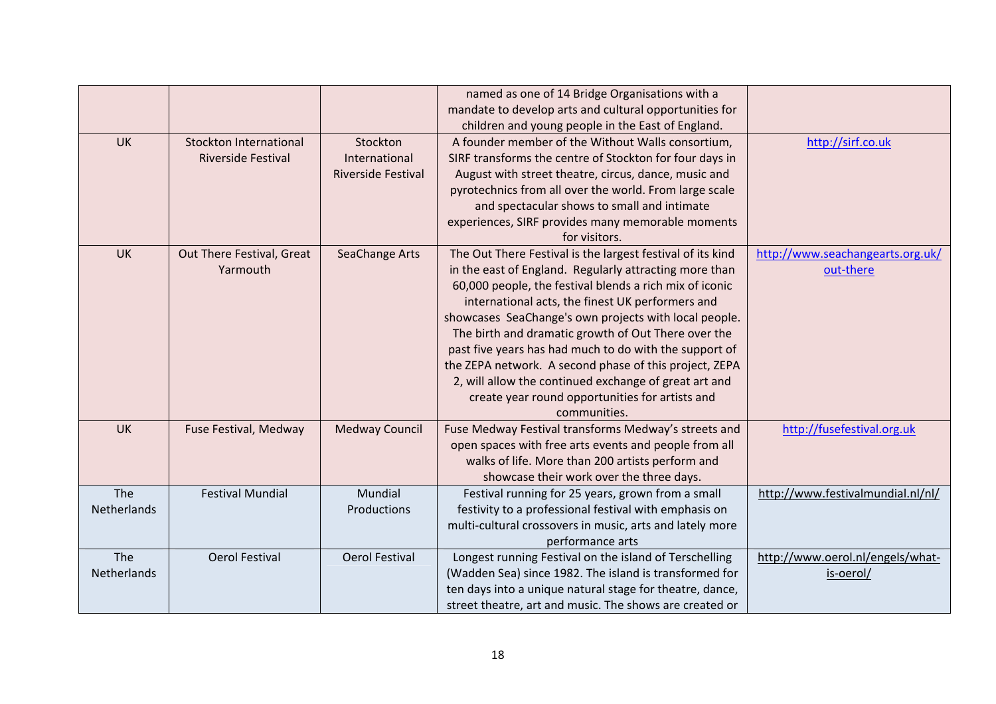|             |                               |                           | named as one of 14 Bridge Organisations with a             |                                   |
|-------------|-------------------------------|---------------------------|------------------------------------------------------------|-----------------------------------|
|             |                               |                           | mandate to develop arts and cultural opportunities for     |                                   |
|             |                               |                           | children and young people in the East of England.          |                                   |
| <b>UK</b>   | <b>Stockton International</b> | Stockton                  | A founder member of the Without Walls consortium,          | http://sirf.co.uk                 |
|             | <b>Riverside Festival</b>     | International             | SIRF transforms the centre of Stockton for four days in    |                                   |
|             |                               | <b>Riverside Festival</b> | August with street theatre, circus, dance, music and       |                                   |
|             |                               |                           | pyrotechnics from all over the world. From large scale     |                                   |
|             |                               |                           | and spectacular shows to small and intimate                |                                   |
|             |                               |                           | experiences, SIRF provides many memorable moments          |                                   |
|             |                               |                           | for visitors.                                              |                                   |
| <b>UK</b>   | Out There Festival, Great     | SeaChange Arts            | The Out There Festival is the largest festival of its kind | http://www.seachangearts.org.uk/  |
|             | Yarmouth                      |                           | in the east of England. Regularly attracting more than     | out-there                         |
|             |                               |                           | 60,000 people, the festival blends a rich mix of iconic    |                                   |
|             |                               |                           | international acts, the finest UK performers and           |                                   |
|             |                               |                           | showcases SeaChange's own projects with local people.      |                                   |
|             |                               |                           | The birth and dramatic growth of Out There over the        |                                   |
|             |                               |                           | past five years has had much to do with the support of     |                                   |
|             |                               |                           | the ZEPA network. A second phase of this project, ZEPA     |                                   |
|             |                               |                           | 2, will allow the continued exchange of great art and      |                                   |
|             |                               |                           | create year round opportunities for artists and            |                                   |
|             |                               |                           | communities.                                               |                                   |
| <b>UK</b>   | Fuse Festival, Medway         | <b>Medway Council</b>     | Fuse Medway Festival transforms Medway's streets and       | http://fusefestival.org.uk        |
|             |                               |                           | open spaces with free arts events and people from all      |                                   |
|             |                               |                           | walks of life. More than 200 artists perform and           |                                   |
|             |                               |                           | showcase their work over the three days.                   |                                   |
| The         | <b>Festival Mundial</b>       | Mundial                   | Festival running for 25 years, grown from a small          | http://www.festivalmundial.nl/nl/ |
| Netherlands |                               | Productions               | festivity to a professional festival with emphasis on      |                                   |
|             |                               |                           | multi-cultural crossovers in music, arts and lately more   |                                   |
|             |                               |                           | performance arts                                           |                                   |
| The         | Oerol Festival                | <b>Oerol Festival</b>     | Longest running Festival on the island of Terschelling     | http://www.oerol.nl/engels/what-  |
| Netherlands |                               |                           | (Wadden Sea) since 1982. The island is transformed for     | is-oerol/                         |
|             |                               |                           | ten days into a unique natural stage for theatre, dance,   |                                   |
|             |                               |                           | street theatre, art and music. The shows are created or    |                                   |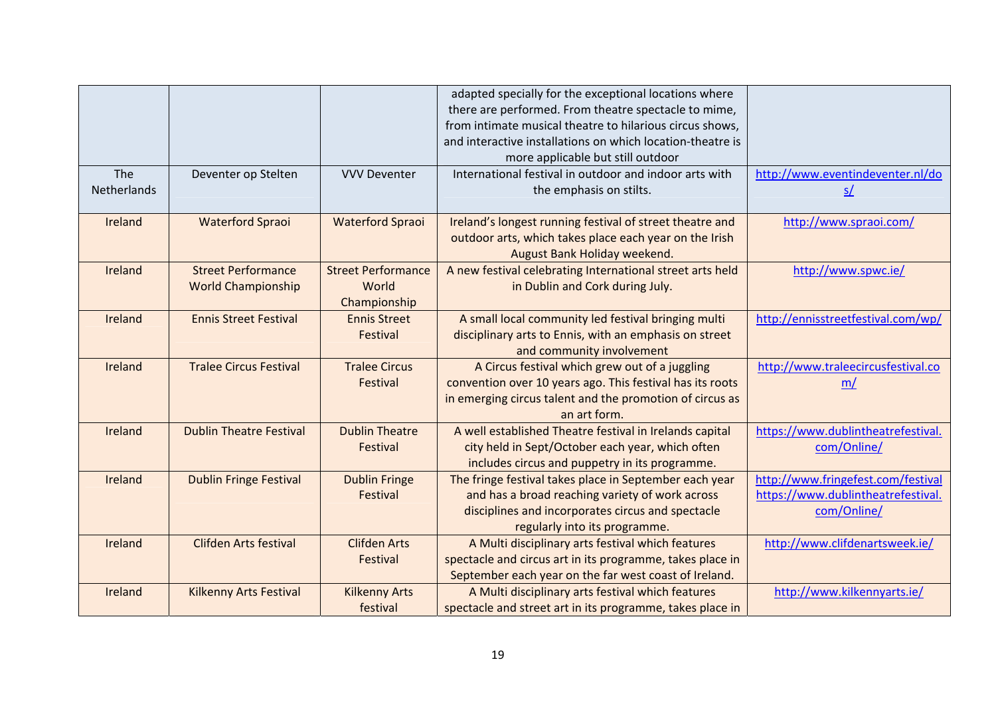|             |                                |                           | adapted specially for the exceptional locations where      |                                    |
|-------------|--------------------------------|---------------------------|------------------------------------------------------------|------------------------------------|
|             |                                |                           | there are performed. From theatre spectacle to mime,       |                                    |
|             |                                |                           | from intimate musical theatre to hilarious circus shows,   |                                    |
|             |                                |                           | and interactive installations on which location-theatre is |                                    |
|             |                                |                           | more applicable but still outdoor                          |                                    |
| The         | Deventer op Stelten            | <b>VVV Deventer</b>       | International festival in outdoor and indoor arts with     | http://www.eventindeventer.nl/do   |
| Netherlands |                                |                           | the emphasis on stilts.                                    | S/                                 |
|             |                                |                           |                                                            |                                    |
| Ireland     | <b>Waterford Spraoi</b>        | <b>Waterford Spraoi</b>   | Ireland's longest running festival of street theatre and   | http://www.spraoi.com/             |
|             |                                |                           | outdoor arts, which takes place each year on the Irish     |                                    |
|             |                                |                           | August Bank Holiday weekend.                               |                                    |
| Ireland     | <b>Street Performance</b>      | <b>Street Performance</b> | A new festival celebrating International street arts held  | http://www.spwc.ie/                |
|             | <b>World Championship</b>      | World                     | in Dublin and Cork during July.                            |                                    |
|             |                                | Championship              |                                                            |                                    |
| Ireland     | <b>Ennis Street Festival</b>   | <b>Ennis Street</b>       | A small local community led festival bringing multi        | http://ennisstreetfestival.com/wp/ |
|             |                                | Festival                  | disciplinary arts to Ennis, with an emphasis on street     |                                    |
|             |                                |                           | and community involvement                                  |                                    |
| Ireland     | <b>Tralee Circus Festival</b>  | <b>Tralee Circus</b>      | A Circus festival which grew out of a juggling             | http://www.traleecircusfestival.co |
|             |                                | Festival                  | convention over 10 years ago. This festival has its roots  | m/                                 |
|             |                                |                           | in emerging circus talent and the promotion of circus as   |                                    |
|             |                                |                           | an art form.                                               |                                    |
| Ireland     | <b>Dublin Theatre Festival</b> | <b>Dublin Theatre</b>     | A well established Theatre festival in Irelands capital    | https://www.dublintheatrefestival. |
|             |                                | Festival                  | city held in Sept/October each year, which often           | com/Online/                        |
|             |                                |                           | includes circus and puppetry in its programme.             |                                    |
| Ireland     | <b>Dublin Fringe Festival</b>  | <b>Dublin Fringe</b>      | The fringe festival takes place in September each year     | http://www.fringefest.com/festival |
|             |                                | Festival                  | and has a broad reaching variety of work across            | https://www.dublintheatrefestival. |
|             |                                |                           | disciplines and incorporates circus and spectacle          | com/Online/                        |
|             |                                |                           | regularly into its programme.                              |                                    |
| Ireland     | <b>Clifden Arts festival</b>   | <b>Clifden Arts</b>       | A Multi disciplinary arts festival which features          | http://www.clifdenartsweek.ie/     |
|             |                                | Festival                  | spectacle and circus art in its programme, takes place in  |                                    |
|             |                                |                           | September each year on the far west coast of Ireland.      |                                    |
| Ireland     | Kilkenny Arts Festival         | <b>Kilkenny Arts</b>      | A Multi disciplinary arts festival which features          | http://www.kilkennyarts.ie/        |
|             |                                | festival                  | spectacle and street art in its programme, takes place in  |                                    |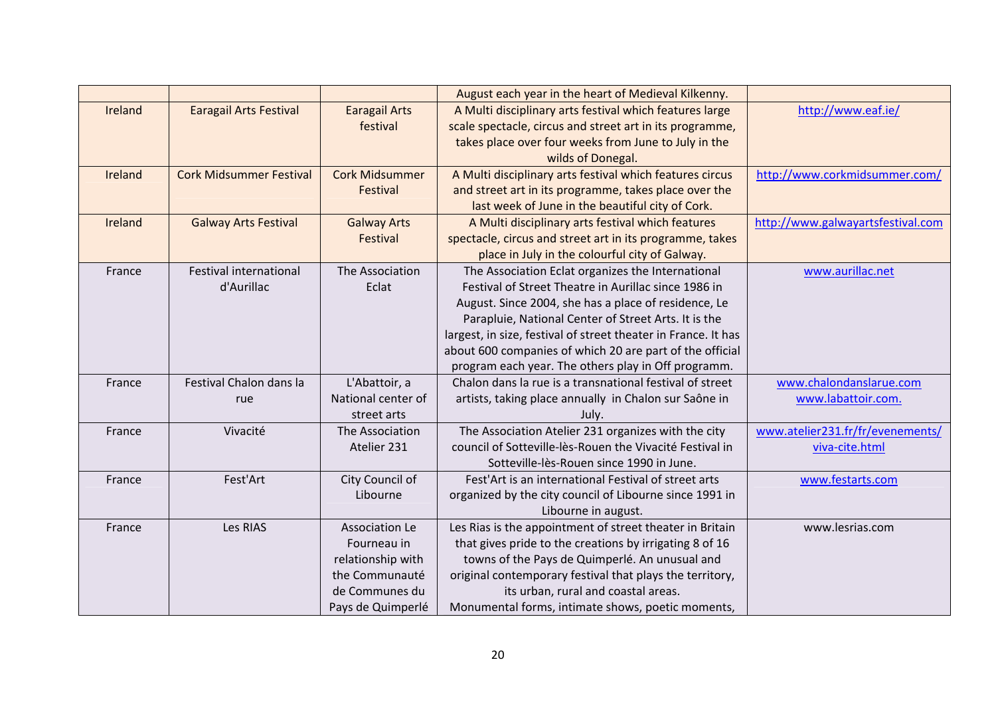|         |                                |                       | August each year in the heart of Medieval Kilkenny.            |                                   |
|---------|--------------------------------|-----------------------|----------------------------------------------------------------|-----------------------------------|
| Ireland | <b>Earagail Arts Festival</b>  | <b>Earagail Arts</b>  | A Multi disciplinary arts festival which features large        | http://www.eaf.ie/                |
|         |                                | festival              | scale spectacle, circus and street art in its programme,       |                                   |
|         |                                |                       | takes place over four weeks from June to July in the           |                                   |
|         |                                |                       | wilds of Donegal.                                              |                                   |
| Ireland | <b>Cork Midsummer Festival</b> | <b>Cork Midsummer</b> | A Multi disciplinary arts festival which features circus       | http://www.corkmidsummer.com/     |
|         |                                | Festival              | and street art in its programme, takes place over the          |                                   |
|         |                                |                       | last week of June in the beautiful city of Cork.               |                                   |
| Ireland | <b>Galway Arts Festival</b>    | <b>Galway Arts</b>    | A Multi disciplinary arts festival which features              | http://www.galwayartsfestival.com |
|         |                                | Festival              | spectacle, circus and street art in its programme, takes       |                                   |
|         |                                |                       | place in July in the colourful city of Galway.                 |                                   |
| France  | Festival international         | The Association       | The Association Eclat organizes the International              | www.aurillac.net                  |
|         | d'Aurillac                     | Eclat                 | Festival of Street Theatre in Aurillac since 1986 in           |                                   |
|         |                                |                       | August. Since 2004, she has a place of residence, Le           |                                   |
|         |                                |                       | Parapluie, National Center of Street Arts. It is the           |                                   |
|         |                                |                       | largest, in size, festival of street theater in France. It has |                                   |
|         |                                |                       | about 600 companies of which 20 are part of the official       |                                   |
|         |                                |                       | program each year. The others play in Off programm.            |                                   |
| France  | Festival Chalon dans la        | L'Abattoir, a         | Chalon dans la rue is a transnational festival of street       | www.chalondanslarue.com           |
|         | rue                            | National center of    | artists, taking place annually in Chalon sur Saône in          | www.labattoir.com.                |
|         |                                | street arts           | July.                                                          |                                   |
| France  | Vivacité                       | The Association       | The Association Atelier 231 organizes with the city            | www.atelier231.fr/fr/evenements/  |
|         |                                | Atelier 231           | council of Sotteville-lès-Rouen the Vivacité Festival in       | viva-cite.html                    |
|         |                                |                       | Sotteville-lès-Rouen since 1990 in June.                       |                                   |
| France  | Fest'Art                       | City Council of       | Fest'Art is an international Festival of street arts           | www.festarts.com                  |
|         |                                | Libourne              | organized by the city council of Libourne since 1991 in        |                                   |
|         |                                |                       | Libourne in august.                                            |                                   |
| France  | Les RIAS                       | <b>Association Le</b> | Les Rias is the appointment of street theater in Britain       | www.lesrias.com                   |
|         |                                | Fourneau in           | that gives pride to the creations by irrigating 8 of 16        |                                   |
|         |                                | relationship with     | towns of the Pays de Quimperlé. An unusual and                 |                                   |
|         |                                | the Communauté        | original contemporary festival that plays the territory,       |                                   |
|         |                                | de Communes du        | its urban, rural and coastal areas.                            |                                   |
|         |                                | Pays de Quimperlé     | Monumental forms, intimate shows, poetic moments,              |                                   |